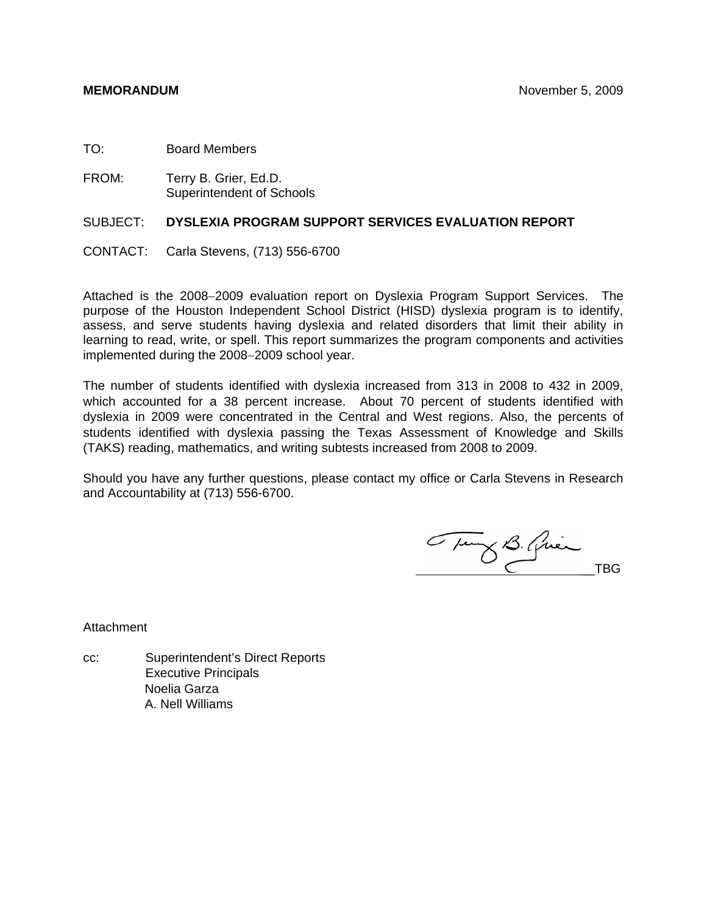- TO: Board Members
- FROM: Terry B. Grier, Ed.D. Superintendent of Schools

### SUBJECT: **DYSLEXIA PROGRAM SUPPORT SERVICES EVALUATION REPORT**

CONTACT: Carla Stevens, (713) 556-6700

Attached is the 2008−2009 evaluation report on Dyslexia Program Support Services. The purpose of the Houston Independent School District (HISD) dyslexia program is to identify, assess, and serve students having dyslexia and related disorders that limit their ability in learning to read, write, or spell. This report summarizes the program components and activities implemented during the 2008−2009 school year.

The number of students identified with dyslexia increased from 313 in 2008 to 432 in 2009, which accounted for a 38 percent increase. About 70 percent of students identified with dyslexia in 2009 were concentrated in the Central and West regions. Also, the percents of students identified with dyslexia passing the Texas Assessment of Knowledge and Skills (TAKS) reading, mathematics, and writing subtests increased from 2008 to 2009.

Should you have any further questions, please contact my office or Carla Stevens in Research and Accountability at (713) 556-6700.

Thing B. Quin

**Attachment** 

cc: Superintendent's Direct Reports Executive Principals Noelia Garza A. Nell Williams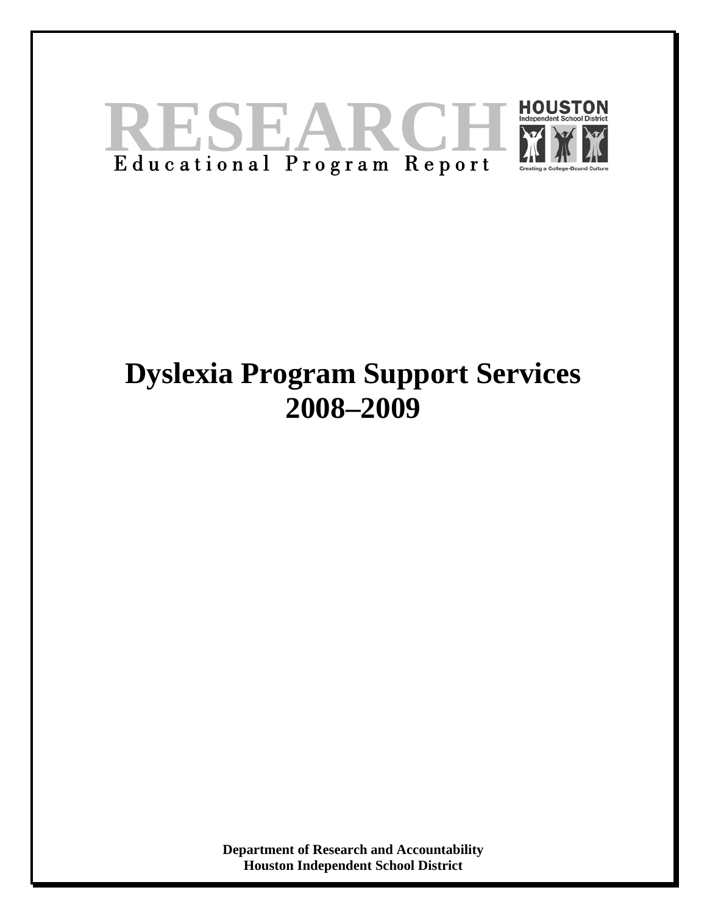

# **Dyslexia Program Support Services 2008–2009**

**Department of Research and Accountability Houston Independent School District**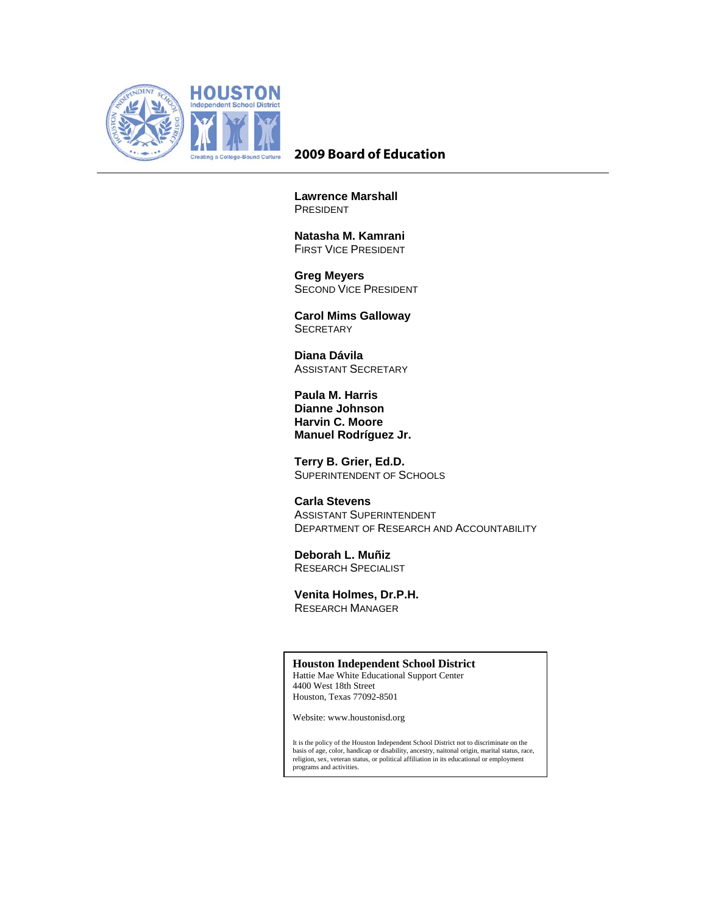

# **2009 Board of Education**

**Lawrence Marshall**  PRESIDENT

 **Natasha M. Kamrani** FIRST VICE PRESIDENT

 **Greg Meyers**  SECOND VICE PRESIDENT

 **Carol Mims Galloway SECRETARY** 

 **Diana Dávila**  ASSISTANT SECRETARY

**Paula M. Harris Dianne Johnson Harvin C. Moore Manuel Rodríguez Jr.** 

 **Terry B. Grier, Ed.D.**  SUPERINTENDENT OF SCHOOLS

 **Carla Stevens**  ASSISTANT SUPERINTENDENT DEPARTMENT OF RESEARCH AND ACCOUNTABILITY

 **Deborah L. Muñiz**  RESEARCH SPECIALIST

**Venita Holmes, Dr.P.H.**  RESEARCH MANAGER

#### **Houston Independent School District**

Hattie Mae White Educational Support Center 4400 West 18th Street Houston, Texas 77092-8501

Website: www.houstonisd.org

It is the policy of the Houston Independent School District not to discriminate on the basis of age, color, handicap or disability, ancestry, naitonal origin, marital status, race, religion, sex, veteran status, or political affiliation in its educational or employment programs and activities.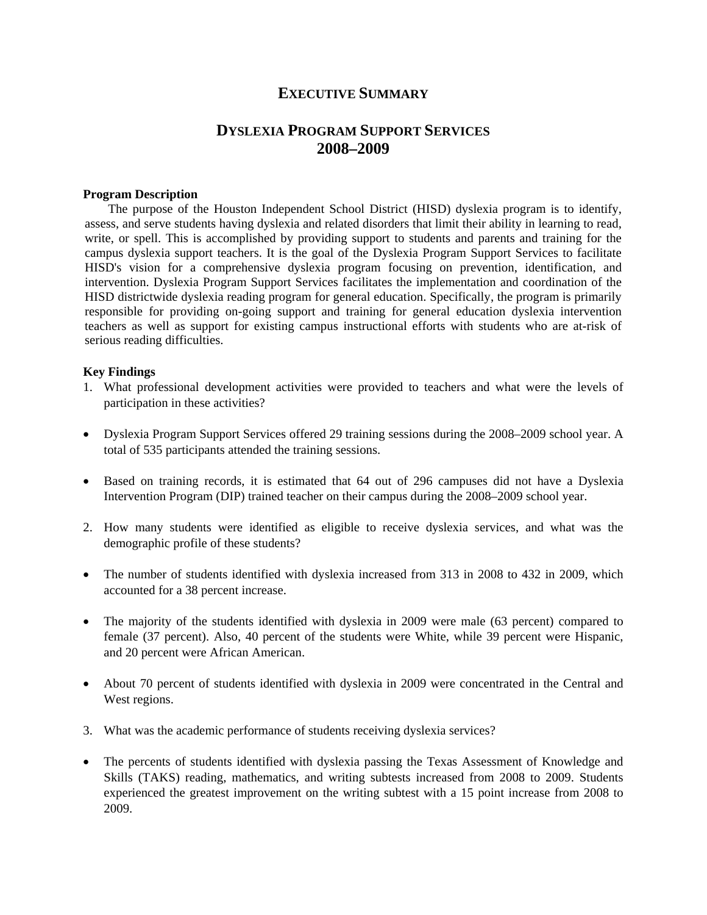# **EXECUTIVE SUMMARY**

# **DYSLEXIA PROGRAM SUPPORT SERVICES 2008–2009**

#### **Program Description**

 The purpose of the Houston Independent School District (HISD) dyslexia program is to identify, assess, and serve students having dyslexia and related disorders that limit their ability in learning to read, write, or spell. This is accomplished by providing support to students and parents and training for the campus dyslexia support teachers. It is the goal of the Dyslexia Program Support Services to facilitate HISD's vision for a comprehensive dyslexia program focusing on prevention, identification, and intervention. Dyslexia Program Support Services facilitates the implementation and coordination of the HISD districtwide dyslexia reading program for general education. Specifically, the program is primarily responsible for providing on-going support and training for general education dyslexia intervention teachers as well as support for existing campus instructional efforts with students who are at-risk of serious reading difficulties.

#### **Key Findings**

- 1. What professional development activities were provided to teachers and what were the levels of participation in these activities?
- Dyslexia Program Support Services offered 29 training sessions during the 2008–2009 school year. A total of 535 participants attended the training sessions.
- Based on training records, it is estimated that 64 out of 296 campuses did not have a Dyslexia Intervention Program (DIP) trained teacher on their campus during the 2008–2009 school year.
- 2. How many students were identified as eligible to receive dyslexia services, and what was the demographic profile of these students?
- The number of students identified with dyslexia increased from 313 in 2008 to 432 in 2009, which accounted for a 38 percent increase.
- The majority of the students identified with dyslexia in 2009 were male (63 percent) compared to female (37 percent). Also, 40 percent of the students were White, while 39 percent were Hispanic, and 20 percent were African American.
- About 70 percent of students identified with dyslexia in 2009 were concentrated in the Central and West regions.
- 3. What was the academic performance of students receiving dyslexia services?
- The percents of students identified with dyslexia passing the Texas Assessment of Knowledge and Skills (TAKS) reading, mathematics, and writing subtests increased from 2008 to 2009. Students experienced the greatest improvement on the writing subtest with a 15 point increase from 2008 to 2009.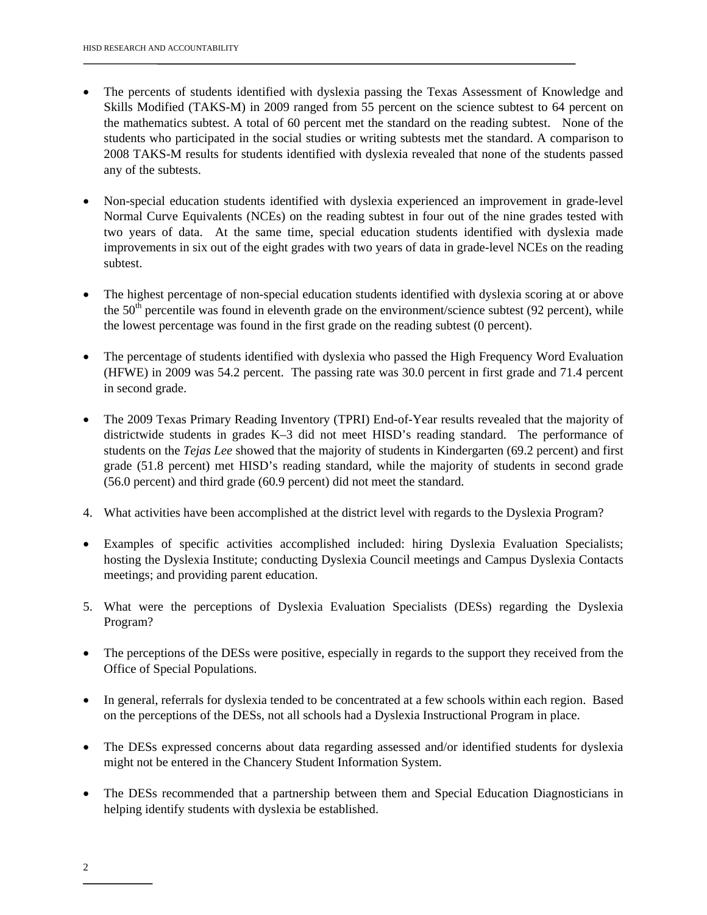- The percents of students identified with dyslexia passing the Texas Assessment of Knowledge and Skills Modified (TAKS-M) in 2009 ranged from 55 percent on the science subtest to 64 percent on the mathematics subtest. A total of 60 percent met the standard on the reading subtest. None of the students who participated in the social studies or writing subtests met the standard. A comparison to 2008 TAKS-M results for students identified with dyslexia revealed that none of the students passed any of the subtests.
- Non-special education students identified with dyslexia experienced an improvement in grade-level Normal Curve Equivalents (NCEs) on the reading subtest in four out of the nine grades tested with two years of data. At the same time, special education students identified with dyslexia made improvements in six out of the eight grades with two years of data in grade-level NCEs on the reading subtest.
- The highest percentage of non-special education students identified with dyslexia scoring at or above the  $50<sup>th</sup>$  percentile was found in eleventh grade on the environment/science subtest (92 percent), while the lowest percentage was found in the first grade on the reading subtest (0 percent).
- The percentage of students identified with dyslexia who passed the High Frequency Word Evaluation (HFWE) in 2009 was 54.2 percent. The passing rate was 30.0 percent in first grade and 71.4 percent in second grade.
- The 2009 Texas Primary Reading Inventory (TPRI) End-of-Year results revealed that the majority of districtwide students in grades K–3 did not meet HISD's reading standard. The performance of students on the *Tejas Lee* showed that the majority of students in Kindergarten (69.2 percent) and first grade (51.8 percent) met HISD's reading standard, while the majority of students in second grade (56.0 percent) and third grade (60.9 percent) did not meet the standard.
- 4. What activities have been accomplished at the district level with regards to the Dyslexia Program?
- Examples of specific activities accomplished included: hiring Dyslexia Evaluation Specialists; hosting the Dyslexia Institute; conducting Dyslexia Council meetings and Campus Dyslexia Contacts meetings; and providing parent education.
- 5. What were the perceptions of Dyslexia Evaluation Specialists (DESs) regarding the Dyslexia Program?
- The perceptions of the DESs were positive, especially in regards to the support they received from the Office of Special Populations.
- In general, referrals for dyslexia tended to be concentrated at a few schools within each region. Based on the perceptions of the DESs, not all schools had a Dyslexia Instructional Program in place.
- The DESs expressed concerns about data regarding assessed and/or identified students for dyslexia might not be entered in the Chancery Student Information System.
- The DESs recommended that a partnership between them and Special Education Diagnosticians in helping identify students with dyslexia be established.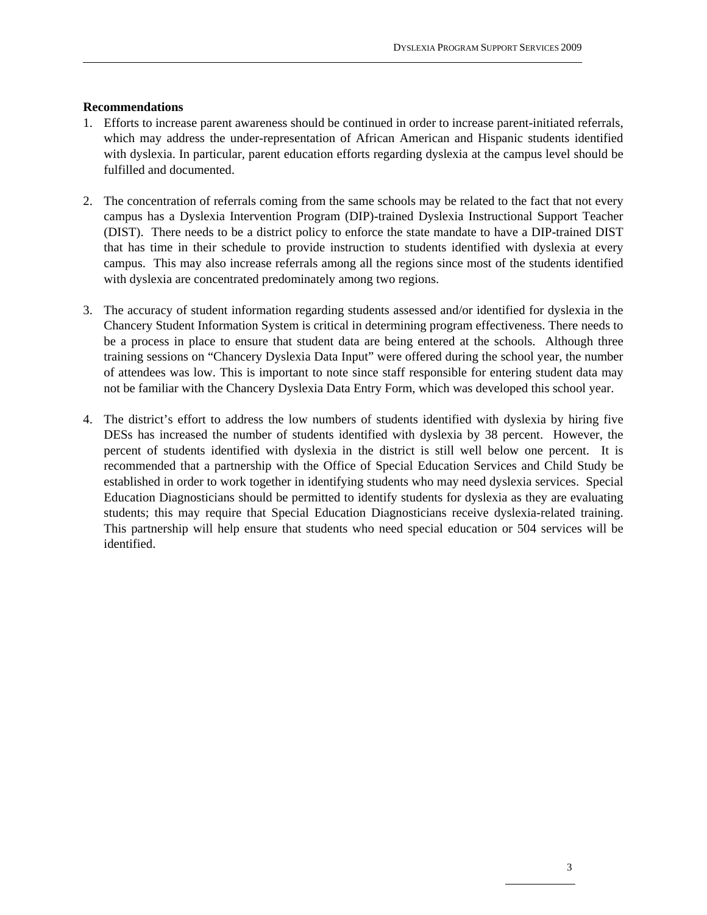# **Recommendations**

- 1. Efforts to increase parent awareness should be continued in order to increase parent-initiated referrals, which may address the under-representation of African American and Hispanic students identified with dyslexia. In particular, parent education efforts regarding dyslexia at the campus level should be fulfilled and documented.
- 2. The concentration of referrals coming from the same schools may be related to the fact that not every campus has a Dyslexia Intervention Program (DIP)-trained Dyslexia Instructional Support Teacher (DIST). There needs to be a district policy to enforce the state mandate to have a DIP-trained DIST that has time in their schedule to provide instruction to students identified with dyslexia at every campus. This may also increase referrals among all the regions since most of the students identified with dyslexia are concentrated predominately among two regions.
- 3. The accuracy of student information regarding students assessed and/or identified for dyslexia in the Chancery Student Information System is critical in determining program effectiveness. There needs to be a process in place to ensure that student data are being entered at the schools. Although three training sessions on "Chancery Dyslexia Data Input" were offered during the school year, the number of attendees was low. This is important to note since staff responsible for entering student data may not be familiar with the Chancery Dyslexia Data Entry Form, which was developed this school year.
- 4. The district's effort to address the low numbers of students identified with dyslexia by hiring five DESs has increased the number of students identified with dyslexia by 38 percent. However, the percent of students identified with dyslexia in the district is still well below one percent. It is recommended that a partnership with the Office of Special Education Services and Child Study be established in order to work together in identifying students who may need dyslexia services. Special Education Diagnosticians should be permitted to identify students for dyslexia as they are evaluating students; this may require that Special Education Diagnosticians receive dyslexia-related training. This partnership will help ensure that students who need special education or 504 services will be identified.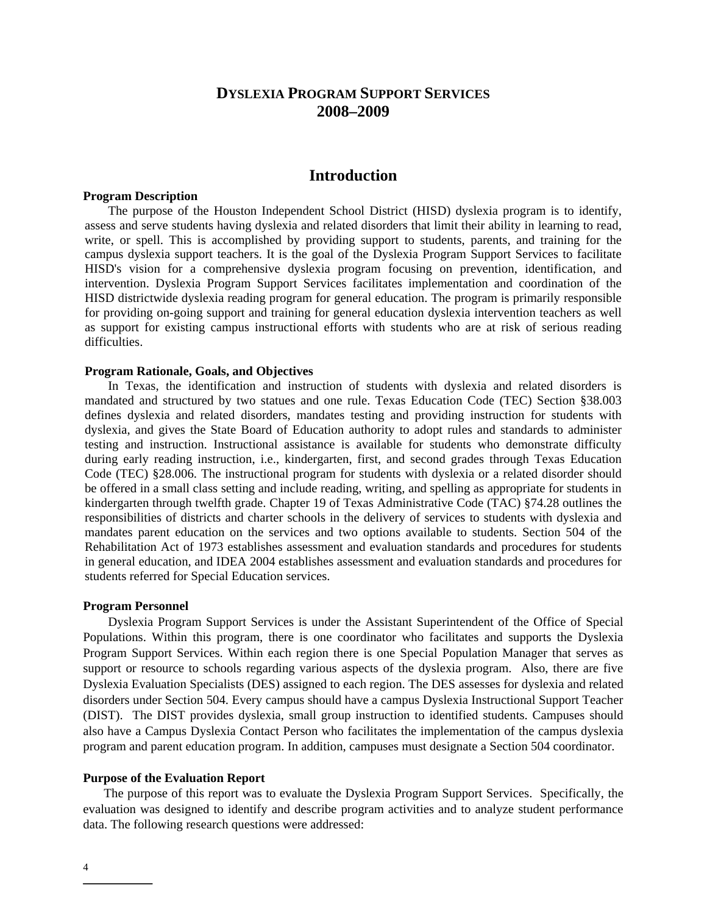# **DYSLEXIA PROGRAM SUPPORT SERVICES 2008–2009**

# **Introduction**

#### **Program Description**

 The purpose of the Houston Independent School District (HISD) dyslexia program is to identify, assess and serve students having dyslexia and related disorders that limit their ability in learning to read, write, or spell. This is accomplished by providing support to students, parents, and training for the campus dyslexia support teachers. It is the goal of the Dyslexia Program Support Services to facilitate HISD's vision for a comprehensive dyslexia program focusing on prevention, identification, and intervention. Dyslexia Program Support Services facilitates implementation and coordination of the HISD districtwide dyslexia reading program for general education. The program is primarily responsible for providing on-going support and training for general education dyslexia intervention teachers as well as support for existing campus instructional efforts with students who are at risk of serious reading difficulties.

#### **Program Rationale, Goals, and Objectives**

In Texas, the identification and instruction of students with dyslexia and related disorders is mandated and structured by two statues and one rule. Texas Education Code (TEC) Section §38.003 defines dyslexia and related disorders, mandates testing and providing instruction for students with dyslexia, and gives the State Board of Education authority to adopt rules and standards to administer testing and instruction. Instructional assistance is available for students who demonstrate difficulty during early reading instruction, i.e., kindergarten, first, and second grades through Texas Education Code (TEC) §28.006. The instructional program for students with dyslexia or a related disorder should be offered in a small class setting and include reading, writing, and spelling as appropriate for students in kindergarten through twelfth grade. Chapter 19 of Texas Administrative Code (TAC) §74.28 outlines the responsibilities of districts and charter schools in the delivery of services to students with dyslexia and mandates parent education on the services and two options available to students. Section 504 of the Rehabilitation Act of 1973 establishes assessment and evaluation standards and procedures for students in general education, and IDEA 2004 establishes assessment and evaluation standards and procedures for students referred for Special Education services.

#### **Program Personnel**

Dyslexia Program Support Services is under the Assistant Superintendent of the Office of Special Populations. Within this program, there is one coordinator who facilitates and supports the Dyslexia Program Support Services. Within each region there is one Special Population Manager that serves as support or resource to schools regarding various aspects of the dyslexia program. Also, there are five Dyslexia Evaluation Specialists (DES) assigned to each region. The DES assesses for dyslexia and related disorders under Section 504. Every campus should have a campus Dyslexia Instructional Support Teacher (DIST). The DIST provides dyslexia, small group instruction to identified students. Campuses should also have a Campus Dyslexia Contact Person who facilitates the implementation of the campus dyslexia program and parent education program. In addition, campuses must designate a Section 504 coordinator.

#### **Purpose of the Evaluation Report**

The purpose of this report was to evaluate the Dyslexia Program Support Services. Specifically, the evaluation was designed to identify and describe program activities and to analyze student performance data. The following research questions were addressed: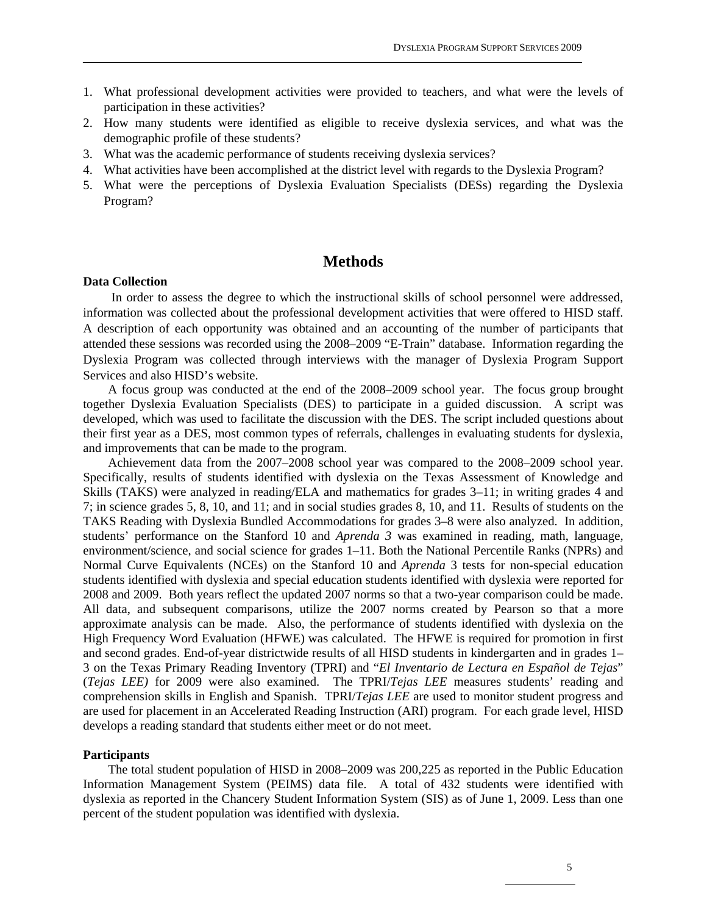- 1. What professional development activities were provided to teachers, and what were the levels of participation in these activities?
- 2. How many students were identified as eligible to receive dyslexia services, and what was the demographic profile of these students?
- 3. What was the academic performance of students receiving dyslexia services?
- 4. What activities have been accomplished at the district level with regards to the Dyslexia Program?
- 5. What were the perceptions of Dyslexia Evaluation Specialists (DESs) regarding the Dyslexia Program?

# **Methods**

#### **Data Collection**

In order to assess the degree to which the instructional skills of school personnel were addressed, information was collected about the professional development activities that were offered to HISD staff. A description of each opportunity was obtained and an accounting of the number of participants that attended these sessions was recorded using the 2008–2009 "E-Train" database. Information regarding the Dyslexia Program was collected through interviews with the manager of Dyslexia Program Support Services and also HISD's website.

 A focus group was conducted at the end of the 2008–2009 school year. The focus group brought together Dyslexia Evaluation Specialists (DES) to participate in a guided discussion. A script was developed, which was used to facilitate the discussion with the DES. The script included questions about their first year as a DES, most common types of referrals, challenges in evaluating students for dyslexia, and improvements that can be made to the program.

Achievement data from the 2007–2008 school year was compared to the 2008–2009 school year. Specifically, results of students identified with dyslexia on the Texas Assessment of Knowledge and Skills (TAKS) were analyzed in reading/ELA and mathematics for grades 3–11; in writing grades 4 and 7; in science grades 5, 8, 10, and 11; and in social studies grades 8, 10, and 11. Results of students on the TAKS Reading with Dyslexia Bundled Accommodations for grades 3–8 were also analyzed. In addition, students' performance on the Stanford 10 and *Aprenda 3* was examined in reading, math, language, environment/science, and social science for grades 1–11. Both the National Percentile Ranks (NPRs) and Normal Curve Equivalents (NCEs) on the Stanford 10 and *Aprenda* 3 tests for non-special education students identified with dyslexia and special education students identified with dyslexia were reported for 2008 and 2009. Both years reflect the updated 2007 norms so that a two-year comparison could be made. All data, and subsequent comparisons, utilize the 2007 norms created by Pearson so that a more approximate analysis can be made. Also, the performance of students identified with dyslexia on the High Frequency Word Evaluation (HFWE) was calculated. The HFWE is required for promotion in first and second grades. End-of-year districtwide results of all HISD students in kindergarten and in grades 1– 3 on the Texas Primary Reading Inventory (TPRI) and "*El Inventario de Lectura en Español de Tejas*" (*Tejas LEE)* for 2009 were also examined. The TPRI/*Tejas LEE* measures students' reading and comprehension skills in English and Spanish. TPRI/*Tejas LEE* are used to monitor student progress and are used for placement in an Accelerated Reading Instruction (ARI) program. For each grade level, HISD develops a reading standard that students either meet or do not meet.

#### **Participants**

The total student population of HISD in 2008–2009 was 200,225 as reported in the Public Education Information Management System (PEIMS) data file. A total of 432 students were identified with dyslexia as reported in the Chancery Student Information System (SIS) as of June 1, 2009. Less than one percent of the student population was identified with dyslexia.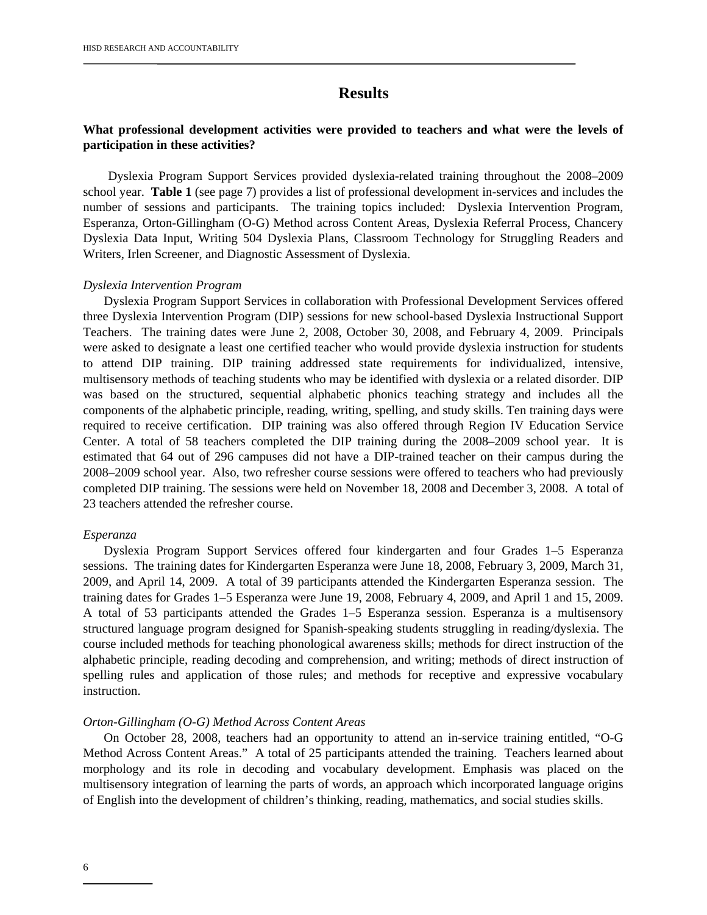# **Results**

# **What professional development activities were provided to teachers and what were the levels of participation in these activities?**

 Dyslexia Program Support Services provided dyslexia-related training throughout the 2008–2009 school year. **Table 1** (see page 7) provides a list of professional development in-services and includes the number of sessions and participants. The training topics included: Dyslexia Intervention Program, Esperanza, Orton-Gillingham (O-G) Method across Content Areas, Dyslexia Referral Process, Chancery Dyslexia Data Input, Writing 504 Dyslexia Plans, Classroom Technology for Struggling Readers and Writers, Irlen Screener, and Diagnostic Assessment of Dyslexia.

#### *Dyslexia Intervention Program*

Dyslexia Program Support Services in collaboration with Professional Development Services offered three Dyslexia Intervention Program (DIP) sessions for new school-based Dyslexia Instructional Support Teachers. The training dates were June 2, 2008, October 30, 2008, and February 4, 2009. Principals were asked to designate a least one certified teacher who would provide dyslexia instruction for students to attend DIP training. DIP training addressed state requirements for individualized, intensive, multisensory methods of teaching students who may be identified with dyslexia or a related disorder. DIP was based on the structured, sequential alphabetic phonics teaching strategy and includes all the components of the alphabetic principle, reading, writing, spelling, and study skills. Ten training days were required to receive certification. DIP training was also offered through Region IV Education Service Center. A total of 58 teachers completed the DIP training during the 2008–2009 school year. It is estimated that 64 out of 296 campuses did not have a DIP-trained teacher on their campus during the 2008–2009 school year. Also, two refresher course sessions were offered to teachers who had previously completed DIP training. The sessions were held on November 18, 2008 and December 3, 2008. A total of 23 teachers attended the refresher course.

#### *Esperanza*

Dyslexia Program Support Services offered four kindergarten and four Grades 1–5 Esperanza sessions. The training dates for Kindergarten Esperanza were June 18, 2008, February 3, 2009, March 31, 2009, and April 14, 2009. A total of 39 participants attended the Kindergarten Esperanza session. The training dates for Grades 1–5 Esperanza were June 19, 2008, February 4, 2009, and April 1 and 15, 2009. A total of 53 participants attended the Grades 1–5 Esperanza session. Esperanza is a multisensory structured language program designed for Spanish-speaking students struggling in reading/dyslexia. The course included methods for teaching phonological awareness skills; methods for direct instruction of the alphabetic principle, reading decoding and comprehension, and writing; methods of direct instruction of spelling rules and application of those rules; and methods for receptive and expressive vocabulary instruction.

#### *Orton-Gillingham (O-G) Method Across Content Areas*

 On October 28, 2008, teachers had an opportunity to attend an in-service training entitled, "O-G Method Across Content Areas." A total of 25 participants attended the training. Teachers learned about morphology and its role in decoding and vocabulary development. Emphasis was placed on the multisensory integration of learning the parts of words, an approach which incorporated language origins of English into the development of children's thinking, reading, mathematics, and social studies skills.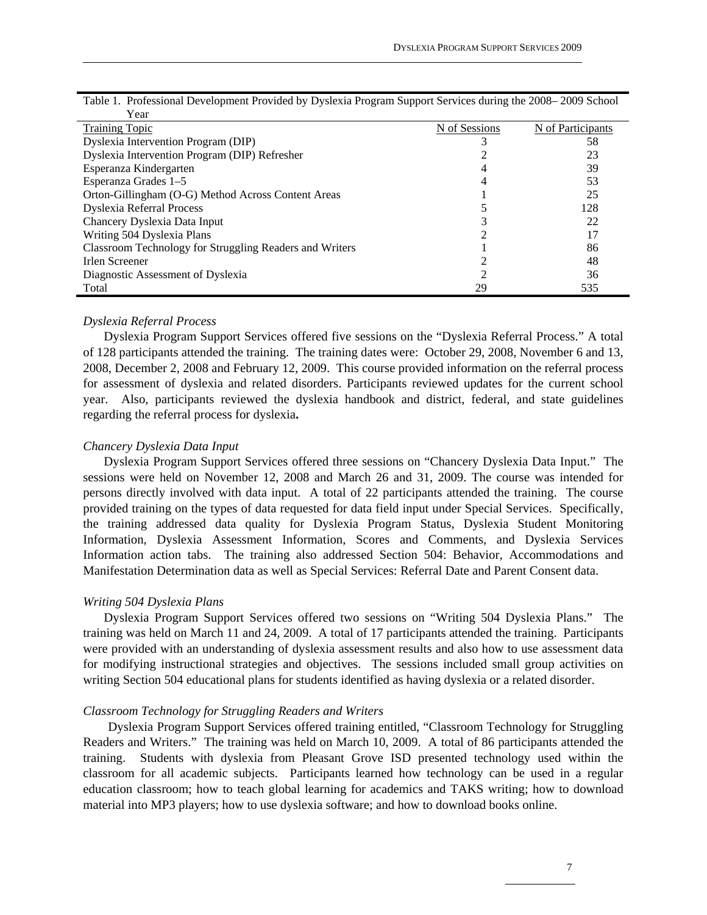| Year                                                    |               |                   |
|---------------------------------------------------------|---------------|-------------------|
| <b>Training Topic</b>                                   | N of Sessions | N of Participants |
| Dyslexia Intervention Program (DIP)                     |               | 58                |
| Dyslexia Intervention Program (DIP) Refresher           |               | 23                |
| Esperanza Kindergarten                                  |               | 39                |
| Esperanza Grades 1-5                                    |               | 53                |
| Orton-Gillingham (O-G) Method Across Content Areas      |               | 25                |
| Dyslexia Referral Process                               |               | 128               |
| Chancery Dyslexia Data Input                            |               | 22                |
| Writing 504 Dyslexia Plans                              |               | 17                |
| Classroom Technology for Struggling Readers and Writers |               | 86                |
| Irlen Screener                                          |               | 48                |
| Diagnostic Assessment of Dyslexia                       |               | 36                |
| Total                                                   | 29            | 535               |

| Table 1. Professional Development Provided by Dyslexia Program Support Services during the 2008–2009 School |  |
|-------------------------------------------------------------------------------------------------------------|--|
| $V_{\alpha\alpha r}$                                                                                        |  |

#### *Dyslexia Referral Process*

Dyslexia Program Support Services offered five sessions on the "Dyslexia Referral Process." A total of 128 participants attended the training. The training dates were: October 29, 2008, November 6 and 13, 2008, December 2, 2008 and February 12, 2009. This course provided information on the referral process for assessment of dyslexia and related disorders. Participants reviewed updates for the current school year. Also, participants reviewed the dyslexia handbook and district, federal, and state guidelines regarding the referral process for dyslexia**.** 

#### *Chancery Dyslexia Data Input*

Dyslexia Program Support Services offered three sessions on "Chancery Dyslexia Data Input." The sessions were held on November 12, 2008 and March 26 and 31, 2009. The course was intended for persons directly involved with data input. A total of 22 participants attended the training. The course provided training on the types of data requested for data field input under Special Services. Specifically, the training addressed data quality for Dyslexia Program Status, Dyslexia Student Monitoring Information, Dyslexia Assessment Information, Scores and Comments, and Dyslexia Services Information action tabs. The training also addressed Section 504: Behavior, Accommodations and Manifestation Determination data as well as Special Services: Referral Date and Parent Consent data.

#### *Writing 504 Dyslexia Plans*

Dyslexia Program Support Services offered two sessions on "Writing 504 Dyslexia Plans." The training was held on March 11 and 24, 2009. A total of 17 participants attended the training. Participants were provided with an understanding of dyslexia assessment results and also how to use assessment data for modifying instructional strategies and objectives. The sessions included small group activities on writing Section 504 educational plans for students identified as having dyslexia or a related disorder.

#### *Classroom Technology for Struggling Readers and Writers*

 Dyslexia Program Support Services offered training entitled, "Classroom Technology for Struggling Readers and Writers." The training was held on March 10, 2009. A total of 86 participants attended the training. Students with dyslexia from Pleasant Grove ISD presented technology used within the classroom for all academic subjects. Participants learned how technology can be used in a regular education classroom; how to teach global learning for academics and TAKS writing; how to download material into MP3 players; how to use dyslexia software; and how to download books online.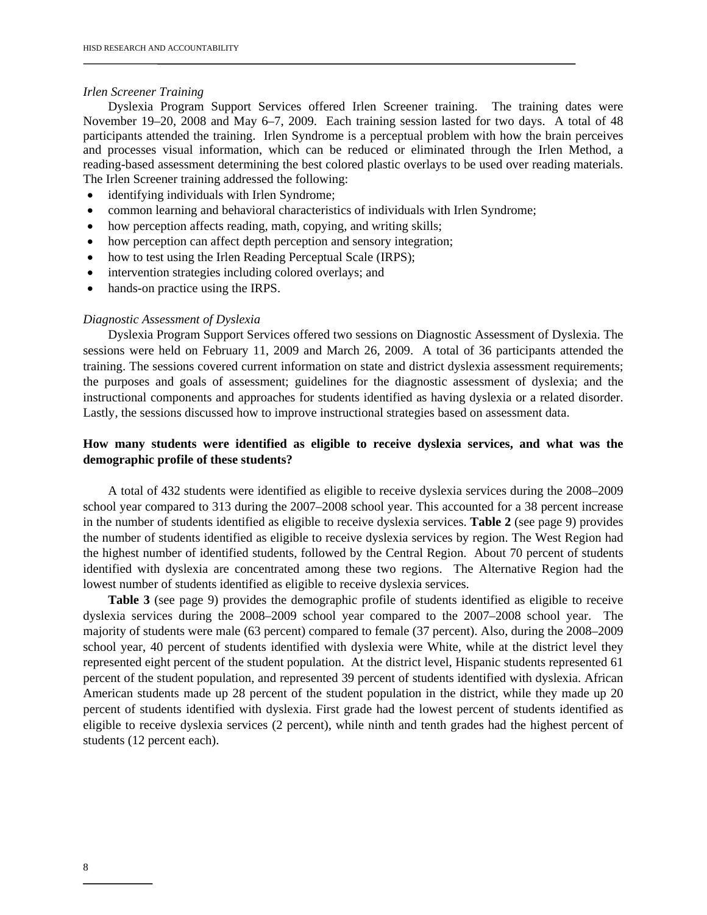#### *Irlen Screener Training*

Dyslexia Program Support Services offered Irlen Screener training. The training dates were November 19–20, 2008 and May 6–7, 2009. Each training session lasted for two days. A total of 48 participants attended the training. Irlen Syndrome is a perceptual problem with how the brain perceives and processes visual information, which can be reduced or eliminated through the Irlen Method, a reading-based assessment determining the best colored plastic overlays to be used over reading materials. The Irlen Screener training addressed the following:

- identifying individuals with Irlen Syndrome;
- common learning and behavioral characteristics of individuals with Irlen Syndrome;
- how perception affects reading, math, copying, and writing skills;
- how perception can affect depth perception and sensory integration;
- how to test using the Irlen Reading Perceptual Scale (IRPS);
- intervention strategies including colored overlays; and
- hands-on practice using the IRPS.

#### *Diagnostic Assessment of Dyslexia*

Dyslexia Program Support Services offered two sessions on Diagnostic Assessment of Dyslexia. The sessions were held on February 11, 2009 and March 26, 2009. A total of 36 participants attended the training. The sessions covered current information on state and district dyslexia assessment requirements; the purposes and goals of assessment; guidelines for the diagnostic assessment of dyslexia; and the instructional components and approaches for students identified as having dyslexia or a related disorder. Lastly, the sessions discussed how to improve instructional strategies based on assessment data.

# **How many students were identified as eligible to receive dyslexia services, and what was the demographic profile of these students?**

A total of 432 students were identified as eligible to receive dyslexia services during the 2008–2009 school year compared to 313 during the 2007–2008 school year. This accounted for a 38 percent increase in the number of students identified as eligible to receive dyslexia services. **Table 2** (see page 9) provides the number of students identified as eligible to receive dyslexia services by region. The West Region had the highest number of identified students, followed by the Central Region. About 70 percent of students identified with dyslexia are concentrated among these two regions. The Alternative Region had the lowest number of students identified as eligible to receive dyslexia services.

**Table 3** (see page 9) provides the demographic profile of students identified as eligible to receive dyslexia services during the 2008–2009 school year compared to the 2007–2008 school year. The majority of students were male (63 percent) compared to female (37 percent). Also, during the 2008–2009 school year, 40 percent of students identified with dyslexia were White, while at the district level they represented eight percent of the student population. At the district level, Hispanic students represented 61 percent of the student population, and represented 39 percent of students identified with dyslexia. African American students made up 28 percent of the student population in the district, while they made up 20 percent of students identified with dyslexia. First grade had the lowest percent of students identified as eligible to receive dyslexia services (2 percent), while ninth and tenth grades had the highest percent of students (12 percent each).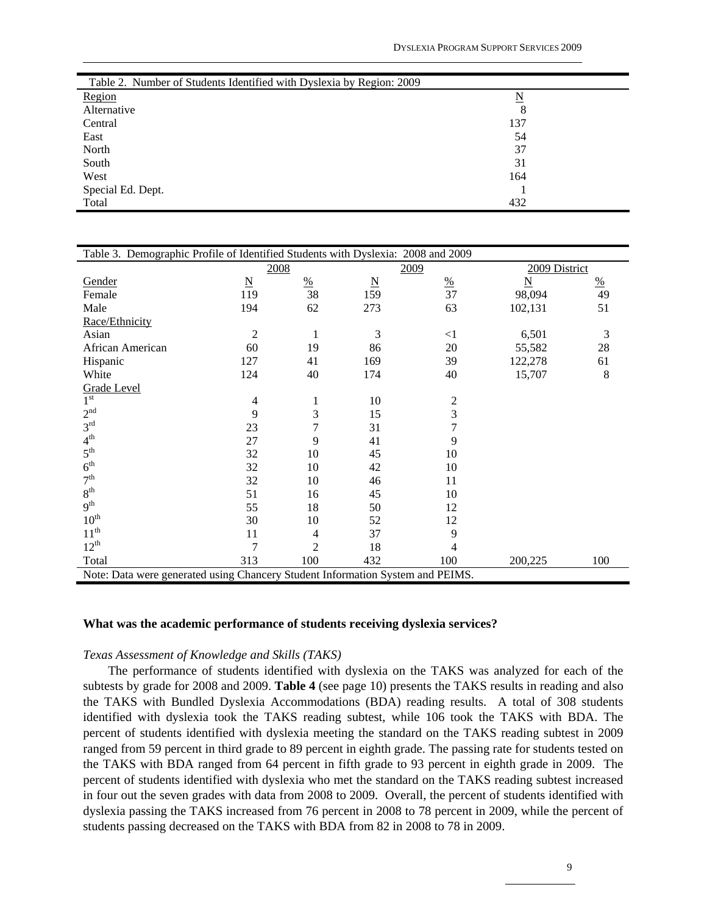| Table 2. Number of Students Identified with Dyslexia by Region: 2009 |     |  |
|----------------------------------------------------------------------|-----|--|
| Region                                                               | N   |  |
| Alternative                                                          | 8   |  |
| Central                                                              | 137 |  |
| East                                                                 | 54  |  |
| North                                                                | 37  |  |
| South                                                                | 31  |  |
| West                                                                 | 164 |  |
| Special Ed. Dept.                                                    |     |  |
| Total                                                                | 432 |  |

| Table 3. Demographic Profile of Identified Students with Dyslexia: 2008 and 2009 |                         |                |                 |                 |                         |               |  |  |  |
|----------------------------------------------------------------------------------|-------------------------|----------------|-----------------|-----------------|-------------------------|---------------|--|--|--|
|                                                                                  | 2008                    |                |                 | 2009            | 2009 District           |               |  |  |  |
| Gender                                                                           | $\overline{\mathbf{N}}$ | $\frac{0}{2}$  | $\underline{N}$ | $\frac{\%}{37}$ | $\overline{\mathbf{N}}$ | $\frac{0}{0}$ |  |  |  |
| Female                                                                           | 119                     | 38             | 159             |                 | 98,094                  | 49            |  |  |  |
| Male                                                                             | 194                     | 62             | 273             | 63              | 102,131                 | 51            |  |  |  |
| Race/Ethnicity                                                                   |                         |                |                 |                 |                         |               |  |  |  |
| Asian                                                                            | $\overline{2}$          | $\mathbf{1}$   | 3               | $\leq$ 1        | 6,501                   | 3             |  |  |  |
| African American                                                                 | 60                      | 19             | 86              | 20              | 55,582                  | 28            |  |  |  |
| Hispanic                                                                         | 127                     | 41             | 169             | 39              | 122,278                 | 61            |  |  |  |
| White                                                                            | 124                     | 40             | 174             | 40              | 15,707                  | $\,8\,$       |  |  |  |
| Grade Level                                                                      |                         |                |                 |                 |                         |               |  |  |  |
| $1^{\rm st}$                                                                     | 4                       | 1              | 10              | 2               |                         |               |  |  |  |
| 2 <sup>nd</sup>                                                                  | 9                       | 3              | 15              | 3               |                         |               |  |  |  |
| 3 <sup>rd</sup>                                                                  | 23                      | $\overline{7}$ | 31              | $\overline{7}$  |                         |               |  |  |  |
| 4 <sup>th</sup>                                                                  | 27                      | 9              | 41              | 9               |                         |               |  |  |  |
| $5^{\text{th}}$                                                                  | 32                      | 10             | 45              | 10              |                         |               |  |  |  |
| 6 <sup>th</sup>                                                                  | 32                      | 10             | 42              | 10              |                         |               |  |  |  |
| 7 <sup>th</sup>                                                                  | 32                      | 10             | 46              | 11              |                         |               |  |  |  |
| 8 <sup>th</sup>                                                                  | 51                      | 16             | 45              | 10              |                         |               |  |  |  |
| 9 <sup>th</sup>                                                                  | 55                      | 18             | 50              | 12              |                         |               |  |  |  |
| $10^{\text{th}}$                                                                 | 30                      | 10             | 52              | 12              |                         |               |  |  |  |
| $11^{\text{th}}$                                                                 | 11                      | 4              | 37              | 9               |                         |               |  |  |  |
| $12^{th}$                                                                        | 7                       | $\overline{c}$ | 18              | 4               |                         |               |  |  |  |
| Total                                                                            | 313                     | 100            | 432             | 100             | 200,225                 | 100           |  |  |  |
| Note: Data were generated using Chancery Student Information System and PEIMS.   |                         |                |                 |                 |                         |               |  |  |  |

#### **What was the academic performance of students receiving dyslexia services?**

#### *Texas Assessment of Knowledge and Skills (TAKS)*

 The performance of students identified with dyslexia on the TAKS was analyzed for each of the subtests by grade for 2008 and 2009. **Table 4** (see page 10) presents the TAKS results in reading and also the TAKS with Bundled Dyslexia Accommodations (BDA) reading results. A total of 308 students identified with dyslexia took the TAKS reading subtest, while 106 took the TAKS with BDA. The percent of students identified with dyslexia meeting the standard on the TAKS reading subtest in 2009 ranged from 59 percent in third grade to 89 percent in eighth grade. The passing rate for students tested on the TAKS with BDA ranged from 64 percent in fifth grade to 93 percent in eighth grade in 2009. The percent of students identified with dyslexia who met the standard on the TAKS reading subtest increased in four out the seven grades with data from 2008 to 2009. Overall, the percent of students identified with dyslexia passing the TAKS increased from 76 percent in 2008 to 78 percent in 2009, while the percent of students passing decreased on the TAKS with BDA from 82 in 2008 to 78 in 2009.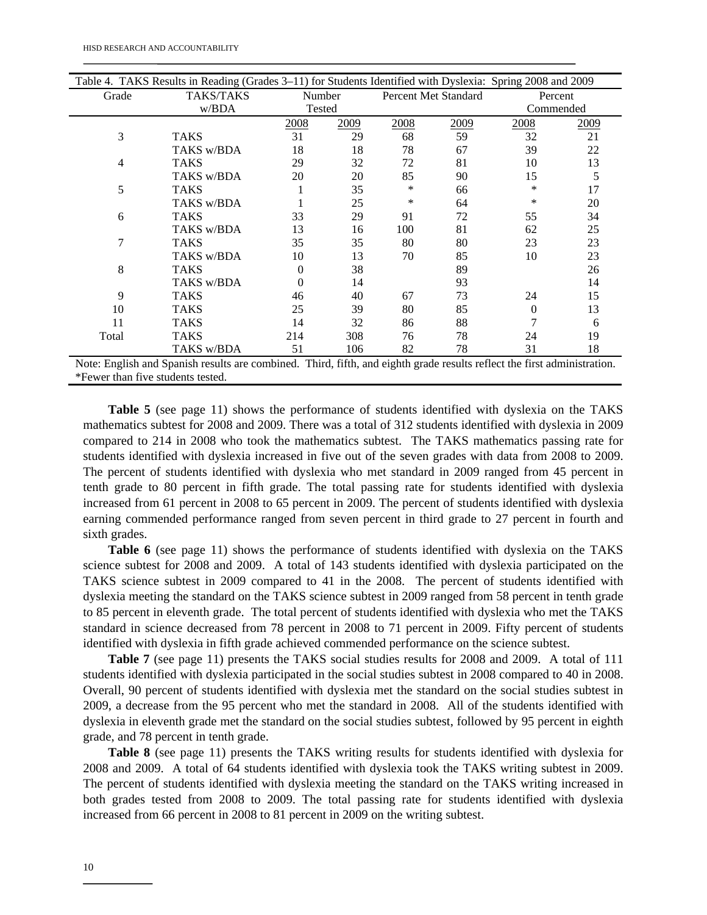| Table 4. TAKS Results in Reading (Grades 3–11) for Students Identified with Dyslexia: Spring 2008 and 2009 |                                                                                                                          |        |      |      |                      |           |      |  |
|------------------------------------------------------------------------------------------------------------|--------------------------------------------------------------------------------------------------------------------------|--------|------|------|----------------------|-----------|------|--|
| Grade                                                                                                      | <b>TAKS/TAKS</b>                                                                                                         | Number |      |      | Percent Met Standard | Percent   |      |  |
|                                                                                                            | w/BDA                                                                                                                    | Tested |      |      |                      | Commended |      |  |
|                                                                                                            |                                                                                                                          | 2008   | 2009 | 2008 | 2009                 | 2008      | 2009 |  |
| 3                                                                                                          | <b>TAKS</b>                                                                                                              | 31     | 29   | 68   | 59                   | 32        | 21   |  |
|                                                                                                            | TAKS w/BDA                                                                                                               | 18     | 18   | 78   | 67                   | 39        | 22   |  |
| 4                                                                                                          | <b>TAKS</b>                                                                                                              | 29     | 32   | 72   | 81                   | 10        | 13   |  |
|                                                                                                            | TAKS w/BDA                                                                                                               | 20     | 20   | 85   | 90                   | 15        | 5    |  |
| 5                                                                                                          | <b>TAKS</b>                                                                                                              |        | 35   | *    | 66                   | ∗         | 17   |  |
|                                                                                                            | TAKS w/BDA                                                                                                               |        | 25   | *    | 64                   | ∗         | 20   |  |
| 6                                                                                                          | <b>TAKS</b>                                                                                                              | 33     | 29   | 91   | 72                   | 55        | 34   |  |
|                                                                                                            | TAKS w/BDA                                                                                                               | 13     | 16   | 100  | 81                   | 62        | 25   |  |
| 7                                                                                                          | <b>TAKS</b>                                                                                                              | 35     | 35   | 80   | 80                   | 23        | 23   |  |
|                                                                                                            | TAKS w/BDA                                                                                                               | 10     | 13   | 70   | 85                   | 10        | 23   |  |
| 8                                                                                                          | TAKS                                                                                                                     | 0      | 38   |      | 89                   |           | 26   |  |
|                                                                                                            | TAKS w/BDA                                                                                                               | 0      | 14   |      | 93                   |           | 14   |  |
| 9                                                                                                          | <b>TAKS</b>                                                                                                              | 46     | 40   | 67   | 73                   | 24        | 15   |  |
| 10                                                                                                         | TAKS                                                                                                                     | 25     | 39   | 80   | 85                   | $\theta$  | 13   |  |
| 11                                                                                                         | <b>TAKS</b>                                                                                                              | 14     | 32   | 86   | 88                   |           | 6    |  |
| Total                                                                                                      | TAKS                                                                                                                     | 214    | 308  | 76   | 78                   | 24        | 19   |  |
|                                                                                                            | TAKS w/BDA                                                                                                               | 51     | 106  | 82   | 78                   | 31        | 18   |  |
|                                                                                                            | Note: English and Spanish results are combined. Third, fifth, and eighth grade results reflect the first administration. |        |      |      |                      |           |      |  |

\*Fewer than five students tested.

 **Table 5** (see page 11) shows the performance of students identified with dyslexia on the TAKS mathematics subtest for 2008 and 2009. There was a total of 312 students identified with dyslexia in 2009 compared to 214 in 2008 who took the mathematics subtest. The TAKS mathematics passing rate for students identified with dyslexia increased in five out of the seven grades with data from 2008 to 2009. The percent of students identified with dyslexia who met standard in 2009 ranged from 45 percent in tenth grade to 80 percent in fifth grade. The total passing rate for students identified with dyslexia increased from 61 percent in 2008 to 65 percent in 2009. The percent of students identified with dyslexia earning commended performance ranged from seven percent in third grade to 27 percent in fourth and sixth grades.

 **Table 6** (see page 11) shows the performance of students identified with dyslexia on the TAKS science subtest for 2008 and 2009. A total of 143 students identified with dyslexia participated on the TAKS science subtest in 2009 compared to 41 in the 2008. The percent of students identified with dyslexia meeting the standard on the TAKS science subtest in 2009 ranged from 58 percent in tenth grade to 85 percent in eleventh grade. The total percent of students identified with dyslexia who met the TAKS standard in science decreased from 78 percent in 2008 to 71 percent in 2009. Fifty percent of students identified with dyslexia in fifth grade achieved commended performance on the science subtest.

 **Table 7** (see page 11) presents the TAKS social studies results for 2008 and 2009. A total of 111 students identified with dyslexia participated in the social studies subtest in 2008 compared to 40 in 2008. Overall, 90 percent of students identified with dyslexia met the standard on the social studies subtest in 2009, a decrease from the 95 percent who met the standard in 2008. All of the students identified with dyslexia in eleventh grade met the standard on the social studies subtest, followed by 95 percent in eighth grade, and 78 percent in tenth grade.

 **Table 8** (see page 11) presents the TAKS writing results for students identified with dyslexia for 2008 and 2009. A total of 64 students identified with dyslexia took the TAKS writing subtest in 2009. The percent of students identified with dyslexia meeting the standard on the TAKS writing increased in both grades tested from 2008 to 2009. The total passing rate for students identified with dyslexia increased from 66 percent in 2008 to 81 percent in 2009 on the writing subtest.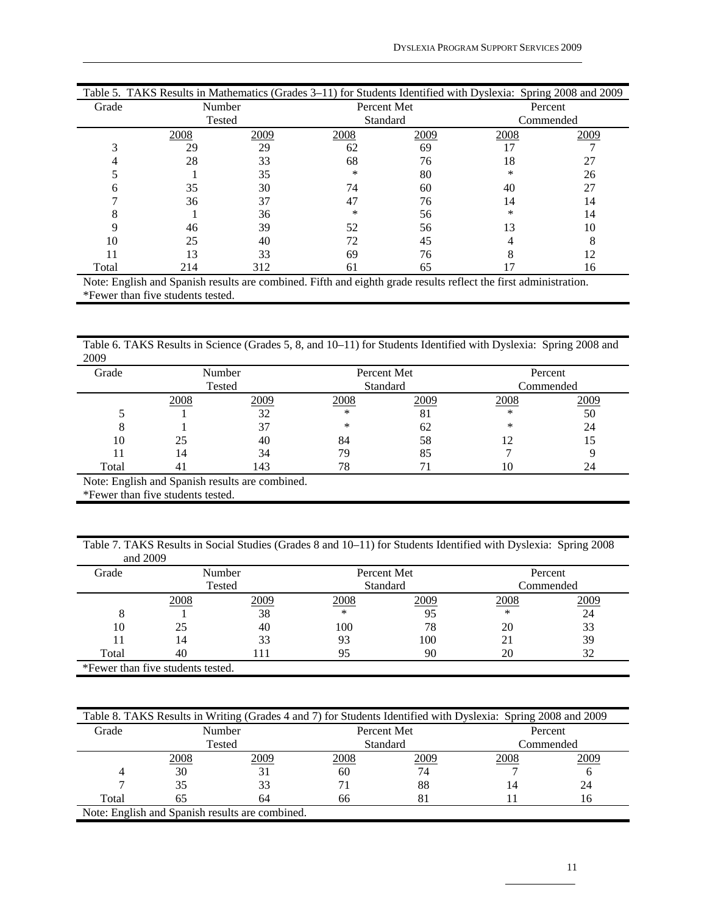| Table 5. TAKS Results in Mathematics (Grades 3–11) for Students Identified with Dyslexia: Spring 2008 and 2009 |        |      |             |      |        |           |  |  |  |
|----------------------------------------------------------------------------------------------------------------|--------|------|-------------|------|--------|-----------|--|--|--|
| Grade                                                                                                          | Number |      | Percent Met |      |        | Percent   |  |  |  |
|                                                                                                                | Tested |      | Standard    |      |        | Commended |  |  |  |
|                                                                                                                | 2008   | 2009 | 2008        | 2009 | 2008   | 2009      |  |  |  |
|                                                                                                                | 29     | 29   | 62          | 69   | 17     |           |  |  |  |
|                                                                                                                | 28     | 33   | 68          | 76   | 18     | 27        |  |  |  |
|                                                                                                                |        | 35   | ∗           | 80   | $\ast$ | 26        |  |  |  |
|                                                                                                                | 35     | 30   | 74          | 60   | 40     | 27        |  |  |  |
|                                                                                                                | 36     | 37   | 47          | 76   | 14     | 14        |  |  |  |
|                                                                                                                |        | 36   | *           | 56   | $\ast$ | 14        |  |  |  |
|                                                                                                                | 46     | 39   | 52          | 56   | 13     | 10        |  |  |  |
| 10                                                                                                             | 25     | 40   | 72          | 45   |        | 8         |  |  |  |
|                                                                                                                | 13     | 33   | 69          | 76   |        | 12        |  |  |  |
| Total                                                                                                          | 214    | 312  | 61          | 65   |        | 16        |  |  |  |

Note: English and Spanish results are combined. Fifth and eighth grade results reflect the first administration. \*Fewer than five students tested.

Table 6. TAKS Results in Science (Grades 5, 8, and 10–11) for Students Identified with Dyslexia: Spring 2008 and 2009

| Grade                                          |      | Number |      | Percent Met | Percent   |      |  |  |
|------------------------------------------------|------|--------|------|-------------|-----------|------|--|--|
|                                                |      | Tested |      | Standard    | Commended |      |  |  |
|                                                | 2008 | 2009   | 2008 | 2009        | 2008      | 2009 |  |  |
|                                                |      | 32     | *    | 81          | ∗         | 50   |  |  |
|                                                |      | 37     | *    | 62          | ∗         | 24   |  |  |
| 10                                             | 25   | 40     | 84   | 58          |           | 15   |  |  |
|                                                | 4،   | 34     | 79   | 85          |           |      |  |  |
| Total                                          |      | 143    | 78   |             | 10        | 24   |  |  |
| Note: English and Spanish results are combined |      |        |      |             |           |      |  |  |

Note: English and Spanish results are combined.

\*Fewer than five students tested.

Table 7. TAKS Results in Social Studies (Grades 8 and 10–11) for Students Identified with Dyslexia: Spring 2008 and 2009

| .     |                                   |        |      |             |           |      |  |
|-------|-----------------------------------|--------|------|-------------|-----------|------|--|
| Grade |                                   | Number |      | Percent Met | Percent   |      |  |
|       |                                   | Tested |      | Standard    | Commended |      |  |
|       | 2008                              | 2009   | 2008 | 2009        | 2008      | 2009 |  |
| 8     |                                   | 38     | *    | 95          | ∗         | 24   |  |
| 10    | 25                                | 40     | 100  | 78          | 20        | 33   |  |
|       | 14                                | 33     | 93   | 100         | 21        | 39   |  |
| Total | 40                                |        | 95   | 90          | 20        | 32   |  |
|       | *Fewer than five students tested. |        |      |             |           |      |  |

| Table 8. TAKS Results in Writing (Grades 4 and 7) for Students Identified with Dyslexia: Spring 2008 and 2009 |                                                 |        |      |             |             |           |  |  |  |  |
|---------------------------------------------------------------------------------------------------------------|-------------------------------------------------|--------|------|-------------|-------------|-----------|--|--|--|--|
| Grade                                                                                                         |                                                 | Number |      | Percent Met |             | Percent   |  |  |  |  |
|                                                                                                               |                                                 | Tested |      | Standard    |             | Commended |  |  |  |  |
|                                                                                                               | 2008                                            | 2009   | 2008 | 2009        | <u>2008</u> | 2009      |  |  |  |  |
|                                                                                                               | 30                                              |        | 60   | 74          |             |           |  |  |  |  |
|                                                                                                               | 35                                              |        |      | 88          | 14          | 24        |  |  |  |  |
| Total                                                                                                         | 65                                              | 64     | 66   | 81          |             | 16        |  |  |  |  |
|                                                                                                               | Note: English and Spanish results are combined. |        |      |             |             |           |  |  |  |  |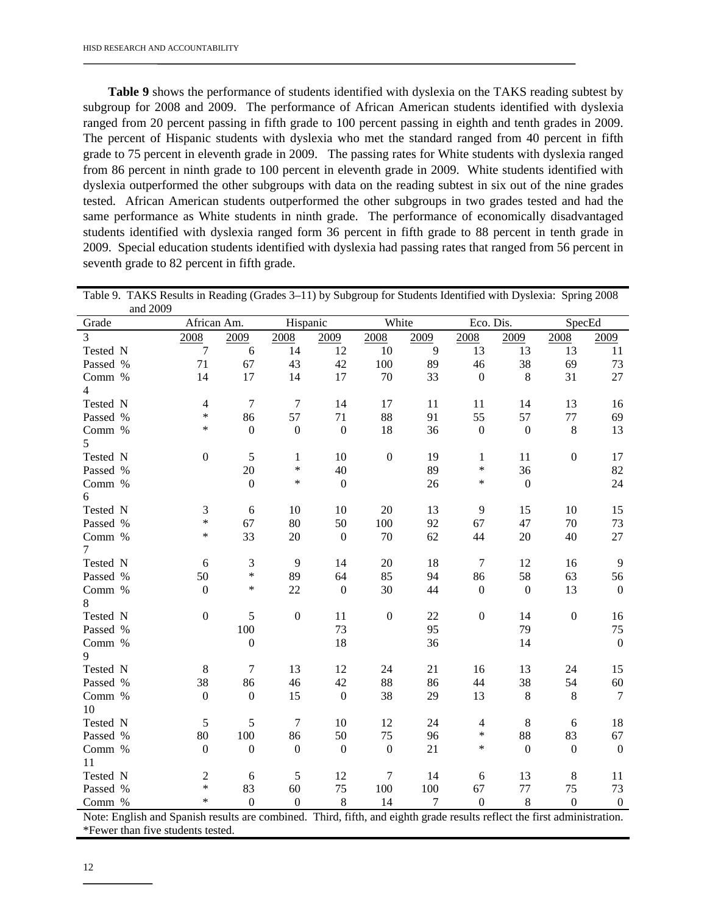**Table 9** shows the performance of students identified with dyslexia on the TAKS reading subtest by subgroup for 2008 and 2009. The performance of African American students identified with dyslexia ranged from 20 percent passing in fifth grade to 100 percent passing in eighth and tenth grades in 2009. The percent of Hispanic students with dyslexia who met the standard ranged from 40 percent in fifth grade to 75 percent in eleventh grade in 2009. The passing rates for White students with dyslexia ranged from 86 percent in ninth grade to 100 percent in eleventh grade in 2009. White students identified with dyslexia outperformed the other subgroups with data on the reading subtest in six out of the nine grades tested. African American students outperformed the other subgroups in two grades tested and had the same performance as White students in ninth grade. The performance of economically disadvantaged students identified with dyslexia ranged form 36 percent in fifth grade to 88 percent in tenth grade in 2009. Special education students identified with dyslexia had passing rates that ranged from 56 percent in seventh grade to 82 percent in fifth grade.

| Table 9. TAKS Results in Reading (Grades 3–11) by Subgroup for Students Identified with Dysiexia. Spring 2006<br>and 2009 |                             |                  |                  |                  |                  |                  |                  |                  |                  |                  |
|---------------------------------------------------------------------------------------------------------------------------|-----------------------------|------------------|------------------|------------------|------------------|------------------|------------------|------------------|------------------|------------------|
| Grade                                                                                                                     | African Am.                 |                  | Hispanic         |                  | White            |                  | Eco. Dis.        |                  | SpecEd           |                  |
| $\overline{3}$                                                                                                            | 2008                        | 2009             | 2008             | 2009             | 2008             | 2009             | 2008             | 2009             | 2008             | 2009             |
| Tested N                                                                                                                  | $\tau$                      | 6                | 14               | 12               | 10               | 9                | 13               | 13               | 13               | 11               |
| Passed %                                                                                                                  | 71                          | 67               | 43               | 42               | 100              | 89               | 46               | 38               | 69               | 73               |
| Comm %                                                                                                                    | 14                          | 17               | 14               | 17               | 70               | 33               | $\boldsymbol{0}$ | 8                | 31               | 27               |
| $\overline{4}$                                                                                                            |                             |                  |                  |                  |                  |                  |                  |                  |                  |                  |
| Tested N                                                                                                                  | $\overline{4}$              | $\tau$           | $\tau$           | 14               | 17               | 11               | 11               | 14               | 13               | 16               |
| Passed %                                                                                                                  | $\ast$                      | 86               | 57               | 71               | 88               | 91               | 55               | 57               | 77               | 69               |
| Comm %                                                                                                                    | $\ast$                      | $\mathbf{0}$     | $\boldsymbol{0}$ | $\boldsymbol{0}$ | 18               | 36               | $\boldsymbol{0}$ | $\mathbf{0}$     | $\,8\,$          | 13               |
| 5                                                                                                                         |                             |                  |                  |                  |                  |                  |                  |                  |                  |                  |
| Tested N                                                                                                                  | $\boldsymbol{0}$            | $\sqrt{5}$       | $\mathbf{1}$     | 10               | $\boldsymbol{0}$ | 19               | $\mathbf{1}$     | 11               | $\boldsymbol{0}$ | 17               |
| Passed %                                                                                                                  |                             | $20\,$           | $\ast$           | 40               |                  | 89               | *                | 36               |                  | 82               |
| Comm %                                                                                                                    |                             | $\boldsymbol{0}$ | $\ast$           | $\boldsymbol{0}$ |                  | 26               | $\ast$           | $\boldsymbol{0}$ |                  | 24               |
| 6                                                                                                                         |                             |                  |                  |                  |                  |                  |                  |                  |                  |                  |
| Tested N                                                                                                                  | $\ensuremath{\mathfrak{Z}}$ | $\sqrt{6}$       | 10               | 10               | 20               | 13               | 9                | 15               | 10               | 15               |
| Passed %                                                                                                                  | $\ast$                      | 67               | 80               | 50               | 100              | 92               | 67               | 47               | 70               | 73               |
| Comm %                                                                                                                    | *                           | 33               | 20               | $\boldsymbol{0}$ | 70               | 62               | 44               | 20               | 40               | 27               |
| $\tau$                                                                                                                    |                             |                  |                  |                  |                  |                  |                  |                  |                  |                  |
| Tested N                                                                                                                  | 6                           | 3                | 9                | 14               | 20               | 18               | $\tau$           | 12               | 16               | 9                |
| Passed %                                                                                                                  | 50                          | $\ast$           | 89               | 64               | 85               | 94               | 86               | 58               | 63               | 56               |
| Comm %                                                                                                                    | $\boldsymbol{0}$            | $\ast$           | 22               | $\boldsymbol{0}$ | 30               | 44               | $\mathbf{0}$     | $\mathbf{0}$     | 13               | $\mathbf{0}$     |
| 8                                                                                                                         |                             |                  |                  |                  |                  |                  |                  |                  |                  |                  |
| Tested N                                                                                                                  | $\boldsymbol{0}$            | 5                | $\boldsymbol{0}$ | 11               | $\boldsymbol{0}$ | 22               | $\boldsymbol{0}$ | 14               | $\boldsymbol{0}$ | 16               |
| Passed %                                                                                                                  |                             | 100              |                  | 73               |                  | 95               |                  | 79               |                  | 75               |
| Comm %                                                                                                                    |                             | $\boldsymbol{0}$ |                  | 18               |                  | 36               |                  | 14               |                  | $\mathbf{0}$     |
| 9                                                                                                                         |                             |                  |                  |                  |                  |                  |                  |                  |                  |                  |
| Tested N                                                                                                                  | $\,8\,$                     | $\overline{7}$   | 13               | 12               | 24               | 21               | 16               | 13               | 24               | 15               |
| Passed %                                                                                                                  | 38                          | 86               | 46               | 42               | 88               | 86               | 44               | 38               | 54               | 60               |
| Comm %                                                                                                                    | $\boldsymbol{0}$            | $\boldsymbol{0}$ | 15               | $\boldsymbol{0}$ | 38               | 29               | 13               | $\,8\,$          | $8\,$            | 7                |
| 10                                                                                                                        |                             |                  |                  |                  |                  |                  |                  |                  |                  |                  |
| Tested N                                                                                                                  | 5                           | 5                | $\overline{7}$   | 10               | 12               | 24               | $\overline{4}$   | $\,8$            | 6                | 18               |
| Passed %                                                                                                                  | 80                          | 100              | 86               | 50               | 75               | 96               | $\ast$<br>$\ast$ | 88               | 83               | 67               |
| Comm %                                                                                                                    | $\boldsymbol{0}$            | $\boldsymbol{0}$ | $\boldsymbol{0}$ | $\boldsymbol{0}$ | $\boldsymbol{0}$ | 21               |                  | $\mathbf{0}$     | $\boldsymbol{0}$ | $\boldsymbol{0}$ |
| 11                                                                                                                        |                             |                  |                  |                  |                  |                  |                  |                  |                  |                  |
| Tested N                                                                                                                  | $\sqrt{2}$<br>$\ast$        | $\sqrt{6}$       | 5                | 12               | 7                | 14               | $6\,$            | 13               | $\,8\,$          | 11               |
| Passed %                                                                                                                  | $\ast$                      | 83               | 60               | 75               | 100              | 100              | 67               | $77 \,$          | 75               | 73               |
| Comm %                                                                                                                    |                             | $\mathbf{0}$     | $\overline{0}$   | $\,8\,$          | 14               | $\boldsymbol{7}$ | $\boldsymbol{0}$ | 8                | $\boldsymbol{0}$ | $\boldsymbol{0}$ |

Table 9. TAKS Results in Reading (Grades 3–11) by Subgroup for Students Identified with Dyslexia: Spring 2008

Note: English and Spanish results are combined. Third, fifth, and eighth grade results reflect the first administration. \*Fewer than five students tested.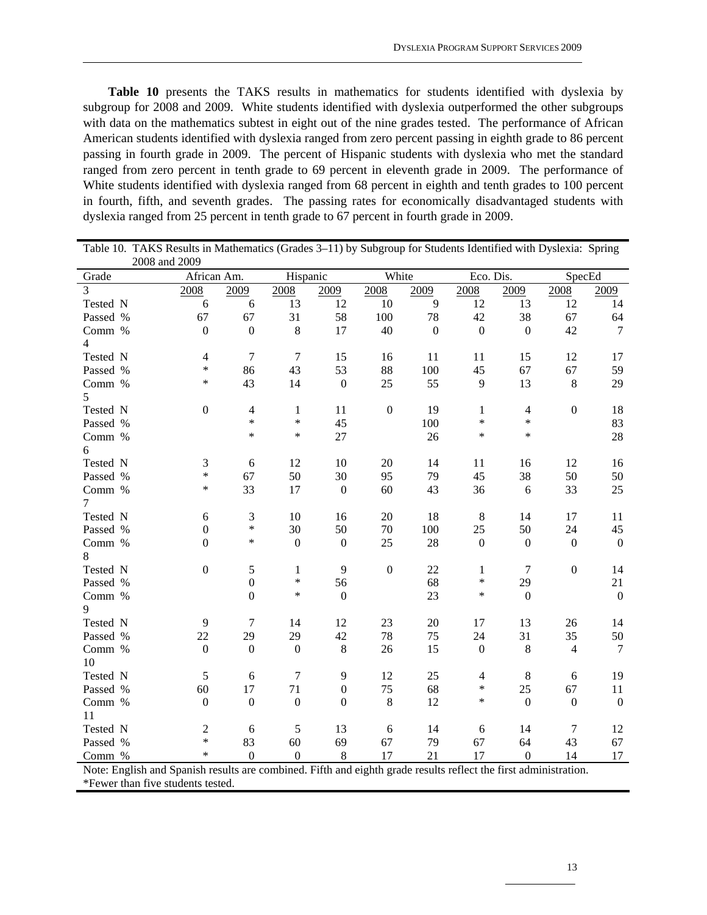**Table 10** presents the TAKS results in mathematics for students identified with dyslexia by subgroup for 2008 and 2009. White students identified with dyslexia outperformed the other subgroups with data on the mathematics subtest in eight out of the nine grades tested. The performance of African American students identified with dyslexia ranged from zero percent passing in eighth grade to 86 percent passing in fourth grade in 2009. The percent of Hispanic students with dyslexia who met the standard ranged from zero percent in tenth grade to 69 percent in eleventh grade in 2009. The performance of White students identified with dyslexia ranged from 68 percent in eighth and tenth grades to 100 percent in fourth, fifth, and seventh grades. The passing rates for economically disadvantaged students with dyslexia ranged from 25 percent in tenth grade to 67 percent in fourth grade in 2009.

| Table 10. TAKS Results in Mathematics (Grades 3–11) by Subgroup for Students Identified with Dyslexia: Spring    |                          |                  |                  |                  |                  |                  |                  |                  |                  |                  |
|------------------------------------------------------------------------------------------------------------------|--------------------------|------------------|------------------|------------------|------------------|------------------|------------------|------------------|------------------|------------------|
| 2008 and 2009                                                                                                    |                          |                  |                  |                  |                  |                  |                  |                  |                  |                  |
| Grade                                                                                                            | African Am.              |                  | Hispanic         |                  | White            |                  | Eco. Dis.        |                  | SpecEd           |                  |
| 3                                                                                                                | 2008                     | 2009             | 2008             | 2009             | 2008             | 2009             | 2008             | 2009             | 2008             | 2009             |
| Tested N                                                                                                         | 6                        | $\sqrt{6}$       | 13               | 12               | 10               | 9                | 12               | 13               | 12               | 14               |
| Passed %                                                                                                         | 67                       | 67               | 31               | 58               | 100              | 78               | 42               | 38               | 67               | 64               |
| Comm %                                                                                                           | $\boldsymbol{0}$         | $\boldsymbol{0}$ | $\,8\,$          | 17               | 40               | $\boldsymbol{0}$ | $\mathbf{0}$     | $\overline{0}$   | 42               | $\overline{7}$   |
| 4                                                                                                                |                          |                  |                  |                  |                  |                  |                  |                  |                  |                  |
| Tested N                                                                                                         | $\overline{\mathcal{L}}$ | $\boldsymbol{7}$ | $\overline{7}$   | 15               | 16               | 11               | 11               | 15               | 12               | 17               |
| Passed %                                                                                                         | $\ast$                   | 86               | 43               | 53               | 88               | 100              | 45               | 67               | 67               | 59               |
| Comm %                                                                                                           | $\ast$                   | 43               | 14               | $\boldsymbol{0}$ | 25               | 55               | 9                | 13               | 8                | 29               |
| 5                                                                                                                |                          |                  |                  |                  |                  |                  |                  |                  |                  |                  |
| Tested N                                                                                                         | $\boldsymbol{0}$         | $\overline{4}$   | $\mathbf{1}$     | 11               | $\boldsymbol{0}$ | 19               | 1                | $\overline{4}$   | $\overline{0}$   | 18               |
| Passed %                                                                                                         |                          | $\ast$           | $\ast$           | 45               |                  | 100              | ∗                | $\ast$           |                  | 83               |
| Comm %                                                                                                           |                          | $\ast$           | $\ast$           | 27               |                  | 26               | $\ast$           | $\ast$           |                  | 28               |
| 6                                                                                                                |                          |                  |                  |                  |                  |                  |                  |                  |                  |                  |
| Tested N                                                                                                         | $\mathfrak{Z}$           | 6                | 12               | 10               | 20               | 14               | 11               | 16               | 12               | 16               |
| Passed %                                                                                                         | $\ast$                   | 67               | 50               | 30               | 95               | 79               | 45               | 38               | 50               | 50               |
| Comm %                                                                                                           | $\ast$                   | 33               | 17               | $\boldsymbol{0}$ | 60               | 43               | 36               | 6                | 33               | 25               |
| 7                                                                                                                |                          |                  |                  |                  |                  |                  |                  |                  |                  |                  |
| Tested N                                                                                                         | 6                        | 3                | 10               | 16               | 20               | 18               | 8                | 14               | 17               | 11               |
| Passed %                                                                                                         | $\boldsymbol{0}$         | $\ast$           | 30               | 50               | 70               | 100              | 25               | 50               | 24               | 45               |
| Comm %                                                                                                           | $\boldsymbol{0}$         | $\ast$           | $\boldsymbol{0}$ | $\boldsymbol{0}$ | 25               | 28               | $\boldsymbol{0}$ | $\boldsymbol{0}$ | $\boldsymbol{0}$ | $\boldsymbol{0}$ |
| 8                                                                                                                |                          |                  |                  |                  |                  |                  |                  |                  |                  |                  |
| Tested N                                                                                                         | $\boldsymbol{0}$         | $\sqrt{5}$       | $\mathbf{1}$     | 9                | $\boldsymbol{0}$ | 22               | $\mathbf{1}$     | $\overline{7}$   | $\boldsymbol{0}$ | 14               |
| Passed %                                                                                                         |                          | $\boldsymbol{0}$ | $\ast$           | 56               |                  | 68               | $\ast$           | 29               |                  | 21               |
| Comm %                                                                                                           |                          | $\overline{0}$   | $\ast$           | $\boldsymbol{0}$ |                  | 23               | ∗                | $\boldsymbol{0}$ |                  | $\boldsymbol{0}$ |
| 9                                                                                                                |                          |                  |                  |                  |                  |                  |                  |                  |                  |                  |
| Tested N                                                                                                         | 9                        | $\overline{7}$   | 14               | 12               | 23               | 20               | 17               | 13               | 26               | 14               |
| Passed %                                                                                                         | 22                       | 29               | 29               | 42               | 78               | 75               | 24               | 31               | 35               | 50               |
| Comm %                                                                                                           | $\boldsymbol{0}$         | $\boldsymbol{0}$ | $\boldsymbol{0}$ | $\,8\,$          | 26               | 15               | $\boldsymbol{0}$ | $\,8\,$          | $\overline{4}$   | 7                |
| 10                                                                                                               |                          |                  |                  |                  |                  |                  |                  |                  |                  |                  |
| Tested N                                                                                                         | 5                        | 6                | $\overline{7}$   | 9                | 12               | 25               | $\overline{4}$   | $\,8\,$          | 6                | 19               |
| Passed %                                                                                                         | 60                       | 17               | 71               | $\boldsymbol{0}$ | 75               | 68               | $\ast$           | 25               | 67               | 11               |
| Comm %                                                                                                           | $\mathbf{0}$             | $\mathbf{0}$     | $\mathbf{0}$     | $\boldsymbol{0}$ | $\,8\,$          | 12               | *                | $\mathbf{0}$     | $\boldsymbol{0}$ | $\boldsymbol{0}$ |
| 11                                                                                                               |                          |                  |                  |                  |                  |                  |                  |                  |                  |                  |
| Tested N                                                                                                         | $\overline{c}$           | 6                | 5                | 13               | 6                | 14               | 6                | 14               | $\tau$           | 12               |
| Passed %                                                                                                         | $\ast$                   | 83               | 60               | 69               | 67               | 79               | 67               | 64               | 43               | 67               |
| Comm %                                                                                                           | $\ast$                   | $\overline{0}$   | $\boldsymbol{0}$ | 8                | 17               | 21               | 17               | $\Omega$         | 14               | 17               |
| Note: English and Spanish results are combined. Fifth and eighth grade results reflect the first administration. |                          |                  |                  |                  |                  |                  |                  |                  |                  |                  |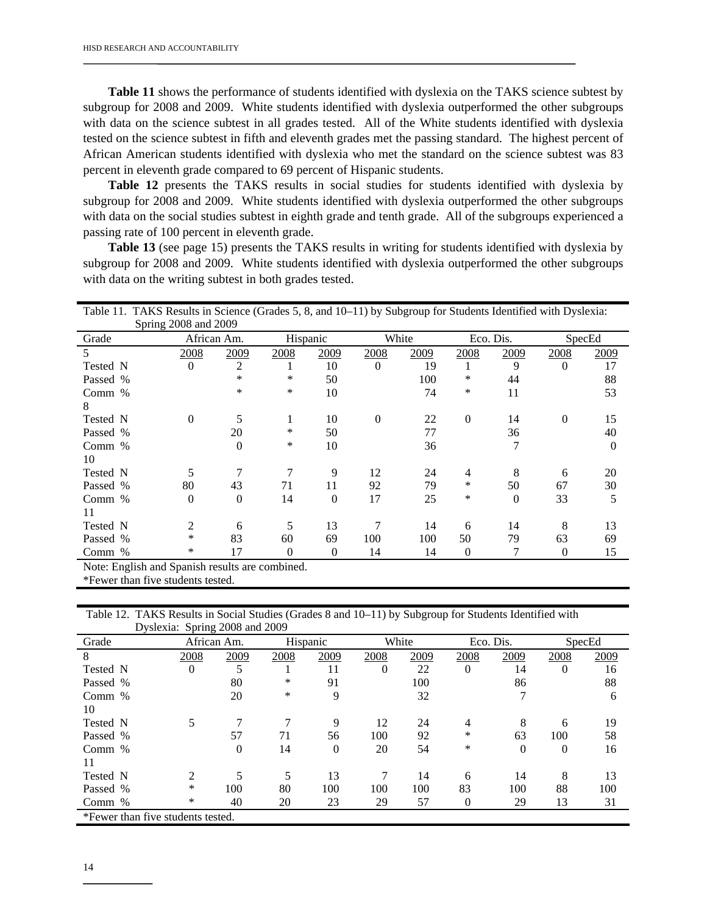**Table 11** shows the performance of students identified with dyslexia on the TAKS science subtest by subgroup for 2008 and 2009. White students identified with dyslexia outperformed the other subgroups with data on the science subtest in all grades tested. All of the White students identified with dyslexia tested on the science subtest in fifth and eleventh grades met the passing standard. The highest percent of African American students identified with dyslexia who met the standard on the science subtest was 83 percent in eleventh grade compared to 69 percent of Hispanic students.

**Table 12** presents the TAKS results in social studies for students identified with dyslexia by subgroup for 2008 and 2009. White students identified with dyslexia outperformed the other subgroups with data on the social studies subtest in eighth grade and tenth grade. All of the subgroups experienced a passing rate of 100 percent in eleventh grade.

 **Table 13** (see page 15) presents the TAKS results in writing for students identified with dyslexia by subgroup for 2008 and 2009. White students identified with dyslexia outperformed the other subgroups with data on the writing subtest in both grades tested.

| Table 11. TAKS Results in Science (Grades 5, 8, and 10–11) by Subgroup for Students Identified with Dyslexia: |                      |          |               |          |               |       |          |           |          |          |
|---------------------------------------------------------------------------------------------------------------|----------------------|----------|---------------|----------|---------------|-------|----------|-----------|----------|----------|
|                                                                                                               | Spring 2008 and 2009 |          |               |          |               |       |          |           |          |          |
| Grade                                                                                                         | African Am.          |          | Hispanic      |          |               | White |          | Eco. Dis. |          | SpecEd   |
| 5                                                                                                             | 2008                 | 2009     | <u> 2008 </u> | 2009     | <u> 2008 </u> | 2009  | 2008     | 2009      | 2008     | 2009     |
| Tested N                                                                                                      | $\Omega$             | 2        |               | 10       | $\Omega$      | 19    |          | 9         | $\Omega$ | 17       |
| Passed %                                                                                                      |                      | *        | ∗             | 50       |               | 100   | *        | 44        |          | 88       |
| Comm %                                                                                                        |                      | *        | *             | 10       |               | 74    | ∗        | 11        |          | 53       |
| 8                                                                                                             |                      |          |               |          |               |       |          |           |          |          |
| Tested N                                                                                                      | $\Omega$             | 5        | 1             | 10       | $\theta$      | 22    | $\theta$ | 14        | $\theta$ | 15       |
| Passed %                                                                                                      |                      | 20       | ∗             | 50       |               | 77    |          | 36        |          | 40       |
| Comm %                                                                                                        |                      | $\Omega$ | ∗             | 10       |               | 36    |          |           |          | $\theta$ |
| 10                                                                                                            |                      |          |               |          |               |       |          |           |          |          |
| Tested N                                                                                                      | 5                    |          |               | 9        | 12            | 24    | 4        | 8         | 6        | 20       |
| Passed %                                                                                                      | 80                   | 43       | 71            | 11       | 92            | 79    | *        | 50        | 67       | 30       |
| Comm %                                                                                                        | $\theta$             | $\Omega$ | 14            | $\Omega$ | 17            | 25    | ∗        | $\theta$  | 33       | 5        |
| 11                                                                                                            |                      |          |               |          |               |       |          |           |          |          |
| Tested N                                                                                                      | 2                    | 6        | 5             | 13       | 7             | 14    | 6        | 14        | 8        | 13       |
| Passed %                                                                                                      | *                    | 83       | 60            | 69       | 100           | 100   | 50       | 79        | 63       | 69       |
| Comm $%$                                                                                                      | *                    | 17       | $\Omega$      | $\theta$ | 14            | 14    | $\theta$ | 7         | $\theta$ | 15       |
| Note: English and Spanish results are combined.                                                               |                      |          |               |          |               |       |          |           |          |          |

\*Fewer than five students tested.

| Table 12. TAKS Results in Social Studies (Grades 8 and 10–11) by Subgroup for Students Identified with |  |
|--------------------------------------------------------------------------------------------------------|--|
| Dyslexia: Spring 2008 and 2009                                                                         |  |

| Grade                             | African Am. |          | Hispanic |          |          | White |          | Eco. Dis. |          | SpecEd |
|-----------------------------------|-------------|----------|----------|----------|----------|-------|----------|-----------|----------|--------|
| 8                                 | 2008        | 2009     | 2008     | 2009     | 2008     | 2009  | 2008     | 2009      | 2008     | 2009   |
| Tested N                          | $\Omega$    | 5        |          | 11       | $\Omega$ | 22    | $\Omega$ | 14        | $\theta$ | 16     |
| Passed %                          |             | 80       | $\ast$   | 91       |          | 100   |          | 86        |          | 88     |
| Comm %                            |             | 20       | $\ast$   | 9        |          | 32    |          | 7         |          | 6      |
| 10                                |             |          |          |          |          |       |          |           |          |        |
| Tested N                          | 5           |          |          | 9        | 12       | 24    | 4        | 8         | 6        | 19     |
| Passed %                          |             | 57       | 71       | 56       | 100      | 92    | $\ast$   | 63        | 100      | 58     |
| Comm $%$                          |             | $\Omega$ | 14       | $\Omega$ | 20       | 54    | $\ast$   | $\theta$  | $\theta$ | 16     |
| 11                                |             |          |          |          |          |       |          |           |          |        |
| Tested N                          | っ           |          | 5        | 13       | 7        | 14    | 6        | 14        | 8        | 13     |
| Passed %                          | *           | 100      | 80       | 100      | 100      | 100   | 83       | 100       | 88       | 100    |
| Comm %                            | $\ast$      | 40       | 20       | 23       | 29       | 57    |          | 29        | 13       | 31     |
| *Fewer than five students tested. |             |          |          |          |          |       |          |           |          |        |

14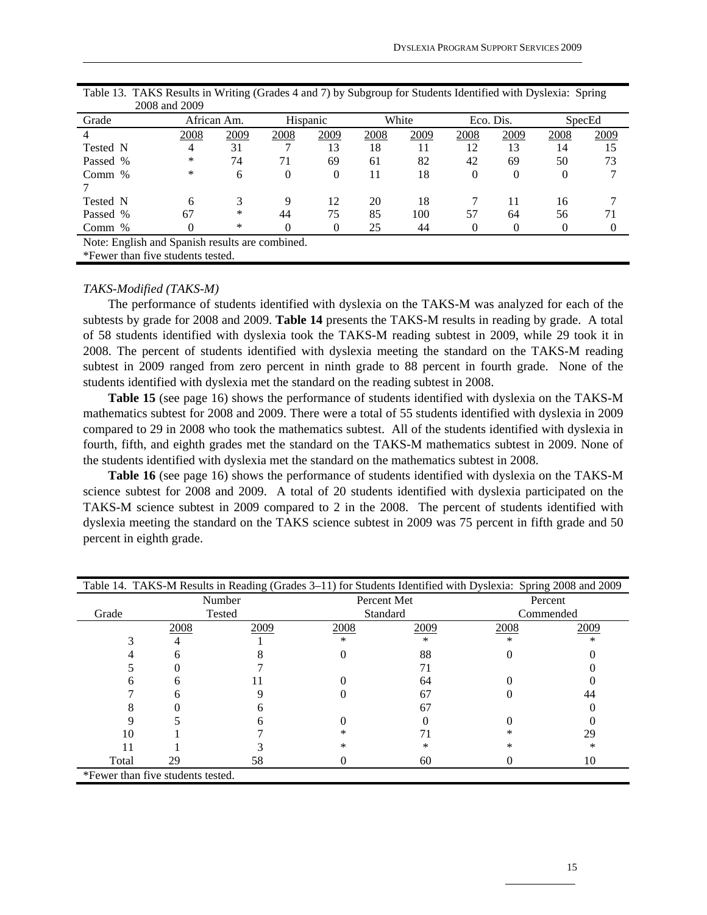|                                                 | $\omega$ vvo anu $\omega$ vv |             |          |          |      |       |          |           |      |        |
|-------------------------------------------------|------------------------------|-------------|----------|----------|------|-------|----------|-----------|------|--------|
| Grade                                           |                              | African Am. |          | Hispanic |      | White |          | Eco. Dis. |      | SpecEd |
|                                                 | 2008                         | 2009        | 2008     | 2009     | 2008 | 2009  | 2008     | 2009      | 2008 | 2009   |
| Tested N                                        | 4                            | 31          |          | 13       | 18   |       | 12       | 13        | 14   | 15     |
| Passed %                                        | *                            | 74          | 71       | 69       | 61   | 82    | 42       | 69        | 50   | 73     |
| Comm $%$                                        | ∗                            | 6           | $\theta$ | 0        | 11   | 18    | $\theta$ | 0         | 0    |        |
|                                                 |                              |             |          |          |      |       |          |           |      |        |
| Tested N                                        | 6                            |             | 9        | 12       | 20   | 18    |          | 11        | 16   |        |
| Passed %                                        | 67                           | ∗           | 44       | 75       | 85   | 100   | 57       | 64        | 56   | 71     |
| Comm %                                          |                              | ∗           |          |          | 25   | 44    |          |           |      |        |
| Note: English and Spanish results are combined. |                              |             |          |          |      |       |          |           |      |        |
| *Fewer than five students tested.               |                              |             |          |          |      |       |          |           |      |        |

Table 13. TAKS Results in Writing (Grades 4 and 7) by Subgroup for Students Identified with Dyslexia: Spring 2008 and 2009

#### *TAKS-Modified (TAKS-M)*

 The performance of students identified with dyslexia on the TAKS-M was analyzed for each of the subtests by grade for 2008 and 2009. **Table 14** presents the TAKS-M results in reading by grade. A total of 58 students identified with dyslexia took the TAKS-M reading subtest in 2009, while 29 took it in 2008. The percent of students identified with dyslexia meeting the standard on the TAKS-M reading subtest in 2009 ranged from zero percent in ninth grade to 88 percent in fourth grade. None of the students identified with dyslexia met the standard on the reading subtest in 2008.

 **Table 15** (see page 16) shows the performance of students identified with dyslexia on the TAKS-M mathematics subtest for 2008 and 2009. There were a total of 55 students identified with dyslexia in 2009 compared to 29 in 2008 who took the mathematics subtest. All of the students identified with dyslexia in fourth, fifth, and eighth grades met the standard on the TAKS-M mathematics subtest in 2009. None of the students identified with dyslexia met the standard on the mathematics subtest in 2008.

 **Table 16** (see page 16) shows the performance of students identified with dyslexia on the TAKS-M science subtest for 2008 and 2009. A total of 20 students identified with dyslexia participated on the TAKS-M science subtest in 2009 compared to 2 in the 2008. The percent of students identified with dyslexia meeting the standard on the TAKS science subtest in 2009 was 75 percent in fifth grade and 50 percent in eighth grade.

|                                   |      | Table 14. TAKS-M Results in Reading (Grades 3–11) for Students Identified with Dyslexia: Spring 2008 and 2009 |           |             |           |      |  |
|-----------------------------------|------|---------------------------------------------------------------------------------------------------------------|-----------|-------------|-----------|------|--|
|                                   |      | Number                                                                                                        |           | Percent Met | Percent   |      |  |
| Grade                             |      | Tested                                                                                                        |           | Standard    | Commended |      |  |
|                                   | 2008 | 2009                                                                                                          | 2008      | 2009        | 2008      | 2009 |  |
|                                   |      |                                                                                                               | $\ast$    | *           | $^{\ast}$ | ∗    |  |
|                                   |      |                                                                                                               |           | 88          |           |      |  |
|                                   |      |                                                                                                               |           | 71          |           |      |  |
|                                   |      |                                                                                                               |           | 64          |           |      |  |
|                                   |      |                                                                                                               |           | 67          |           | 44   |  |
|                                   |      |                                                                                                               |           | 67          |           |      |  |
|                                   |      |                                                                                                               |           |             |           |      |  |
| 10                                |      |                                                                                                               | $^{\ast}$ |             |           | 29   |  |
|                                   |      |                                                                                                               | ∗         | ∗           |           | ∗    |  |
| Total                             | 29   | 58                                                                                                            |           | 60          |           | 10   |  |
| *Fewer than five students tested. |      |                                                                                                               |           |             |           |      |  |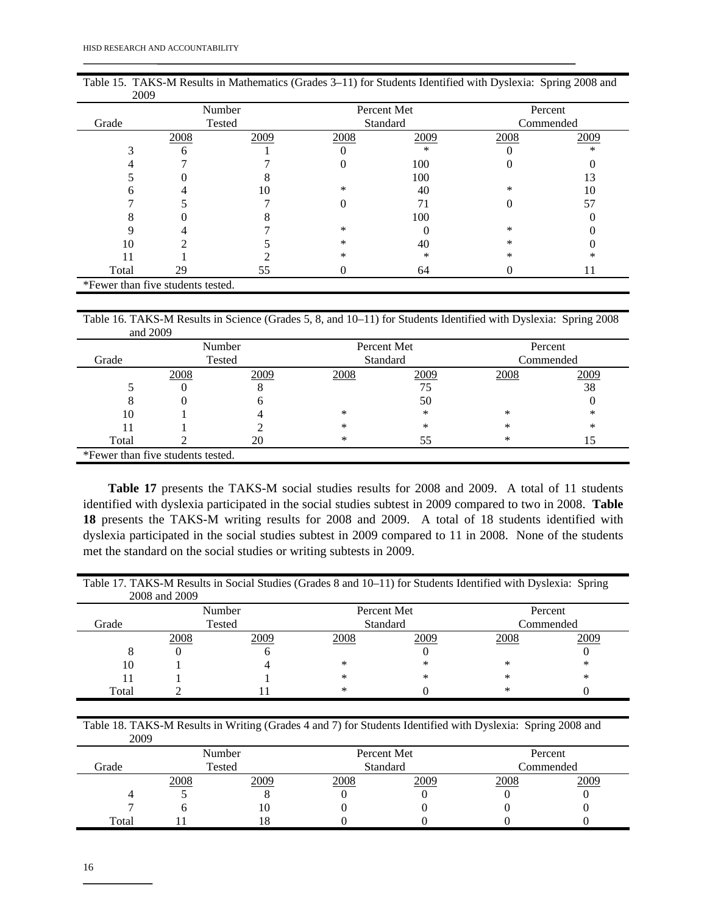| <b>ZUUY</b>                       |      |        |      |             |           |      |  |
|-----------------------------------|------|--------|------|-------------|-----------|------|--|
|                                   |      | Number |      | Percent Met | Percent   |      |  |
| Grade                             |      | Tested |      | Standard    | Commended |      |  |
|                                   | 2008 | 2009   | 2008 | 2009        | 2008      | 2009 |  |
|                                   | 6    |        |      | $\ast$      |           | ∗    |  |
|                                   |      |        |      | 100         |           |      |  |
|                                   |      |        |      | 100         |           | 13   |  |
|                                   |      | 10     | ∗    | 40          | *         | 10   |  |
|                                   |      |        |      |             |           | 57   |  |
|                                   |      |        |      | 100         |           |      |  |
|                                   |      |        | *    |             | $\ast$    |      |  |
| 10                                |      |        | *    | 40          | *         |      |  |
|                                   |      |        | *    | ∗           | *         | *    |  |
| Total                             | 29   | 55     | U    | 64          |           | 11   |  |
| *Fewer than five students tested. |      |        |      |             |           |      |  |

| Table 15. TAKS-M Results in Mathematics (Grades 3–11) for Students Identified with Dyslexia: Spring 2008 and |  |
|--------------------------------------------------------------------------------------------------------------|--|
| 2009                                                                                                         |  |

Table 16. TAKS-M Results in Science (Grades 5, 8, and 10–11) for Students Identified with Dyslexia: Spring 2008 and 2009

|                                   |      | Number |      | Percent Met | Percent   |      |  |
|-----------------------------------|------|--------|------|-------------|-----------|------|--|
| Grade                             |      | Tested |      | Standard    | Commended |      |  |
|                                   | 2008 | 2009   | 2008 | 2009        | 2008      | 2009 |  |
|                                   |      |        |      |             |           | 38   |  |
|                                   |      |        |      | 50          |           |      |  |
| 10                                |      |        | *    | ∗           | ∗         | *    |  |
|                                   |      |        | *    | ∗           | $\ast$    | *    |  |
| Total                             |      |        | *    | 55          | ∗         | 15   |  |
| *Fewer than five students tested. |      |        |      |             |           |      |  |

 **Table 17** presents the TAKS-M social studies results for 2008 and 2009. A total of 11 students identified with dyslexia participated in the social studies subtest in 2009 compared to two in 2008. **Table 18** presents the TAKS-M writing results for 2008 and 2009. A total of 18 students identified with dyslexia participated in the social studies subtest in 2009 compared to 11 in 2008. None of the students met the standard on the social studies or writing subtests in 2009.

Table 17. TAKS-M Results in Social Studies (Grades 8 and 10–11) for Students Identified with Dyslexia: Spring 2008 and 2009

| 2009        |
|-------------|
|             |
|             |
|             |
|             |
| ∗<br>$\ast$ |

Table 18. TAKS-M Results in Writing (Grades 4 and 7) for Students Identified with Dyslexia: Spring 2008 and 2009

| ---   |      |        |      |             |           |      |  |
|-------|------|--------|------|-------------|-----------|------|--|
|       |      | Number |      | Percent Met | Percent   |      |  |
| Grade |      | Tested |      | Standard    | Commended |      |  |
|       | 2008 | 2009   | 2008 | 2009        | 2008      | 2009 |  |
|       |      |        |      |             |           |      |  |
|       |      | l ()   |      |             |           |      |  |
| Total |      |        |      |             |           |      |  |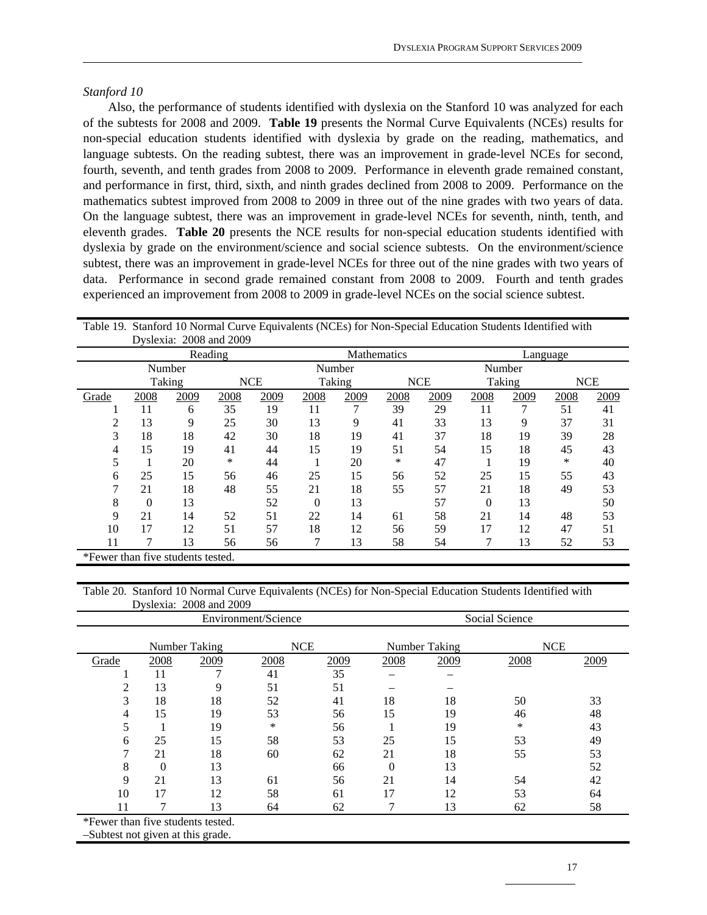#### *Stanford 10*

 Also, the performance of students identified with dyslexia on the Stanford 10 was analyzed for each of the subtests for 2008 and 2009. **Table 19** presents the Normal Curve Equivalents (NCEs) results for non-special education students identified with dyslexia by grade on the reading, mathematics, and language subtests. On the reading subtest, there was an improvement in grade-level NCEs for second, fourth, seventh, and tenth grades from 2008 to 2009. Performance in eleventh grade remained constant, and performance in first, third, sixth, and ninth grades declined from 2008 to 2009. Performance on the mathematics subtest improved from 2008 to 2009 in three out of the nine grades with two years of data. On the language subtest, there was an improvement in grade-level NCEs for seventh, ninth, tenth, and eleventh grades. **Table 20** presents the NCE results for non-special education students identified with dyslexia by grade on the environment/science and social science subtests. On the environment/science subtest, there was an improvement in grade-level NCEs for three out of the nine grades with two years of data. Performance in second grade remained constant from 2008 to 2009. Fourth and tenth grades experienced an improvement from 2008 to 2009 in grade-level NCEs on the social science subtest.

|                                   | Table 19. Stalling To Profilial Curve Equivalents (PCES) for Profi-Special Equeation Students Retitution with<br>Dyslexia: 2008 and 2009 |        |         |            |          |        |             |            |          |        |      |            |  |
|-----------------------------------|------------------------------------------------------------------------------------------------------------------------------------------|--------|---------|------------|----------|--------|-------------|------------|----------|--------|------|------------|--|
|                                   |                                                                                                                                          |        | Reading |            |          |        | Mathematics |            | Language |        |      |            |  |
|                                   |                                                                                                                                          | Number |         |            |          | Number |             |            |          | Number |      |            |  |
|                                   |                                                                                                                                          | Taking |         | <b>NCE</b> |          | Taking |             | <b>NCE</b> |          | Taking |      | <b>NCE</b> |  |
| Grade                             | 2008                                                                                                                                     | 2009   | 2008    | 2009       | 2008     | 2009   | 2008        | 2009       | 2008     | 2009   | 2008 | 2009       |  |
|                                   | 11                                                                                                                                       | 6      | 35      | 19         | 11       |        | 39          | 29         | 11       |        | 51   | 41         |  |
| 2                                 | 13                                                                                                                                       | 9      | 25      | 30         | 13       | 9      | 41          | 33         | 13       | 9      | 37   | 31         |  |
| 3                                 | 18                                                                                                                                       | 18     | 42      | 30         | 18       | 19     | 41          | 37         | 18       | 19     | 39   | 28         |  |
|                                   | 15                                                                                                                                       | 19     | 41      | 44         | 15       | 19     | 51          | 54         | 15       | 18     | 45   | 43         |  |
|                                   |                                                                                                                                          | 20     | *       | 44         |          | 20     | ∗           | 47         |          | 19     | ∗    | 40         |  |
| 6                                 | 25                                                                                                                                       | 15     | 56      | 46         | 25       | 15     | 56          | 52         | 25       | 15     | 55   | 43         |  |
| 7                                 | 21                                                                                                                                       | 18     | 48      | 55         | 21       | 18     | 55          | 57         | 21       | 18     | 49   | 53         |  |
| 8                                 | $\theta$                                                                                                                                 | 13     |         | 52         | $\theta$ | 13     |             | 57         | $\Omega$ | 13     |      | 50         |  |
| 9                                 | 21                                                                                                                                       | 14     | 52      | 51         | 22       | 14     | 61          | 58         | 21       | 14     | 48   | 53         |  |
| 10                                | 17                                                                                                                                       | 12     | 51      | 57         | 18       | 12     | 56          | 59         | 17       | 12     | 47   | 51         |  |
| 11                                |                                                                                                                                          | 13     | 56      | 56         | 7        | 13     | 58          | 54         |          | 13     | 52   | 53         |  |
| *Fewer than five students tested. |                                                                                                                                          |        |         |            |          |        |             |            |          |        |      |            |  |

Table 19. Stanford 10 Normal Curve Equivalents (NCEs) for Non-Special Education Students Identified with

#### Table 20. Stanford 10 Normal Curve Equivalents (NCEs) for Non-Special Education Students Identified with Dyslexia: 2008 and 2009

|                                   |          |               | Environment/Science |      | Social Science |            |      |      |  |  |
|-----------------------------------|----------|---------------|---------------------|------|----------------|------------|------|------|--|--|
|                                   |          | Number Taking | <b>NCE</b>          |      | Number Taking  | <b>NCE</b> |      |      |  |  |
| Grade                             | 2008     | 2009          | 2008                | 2009 | 2008           | 2009       | 2008 | 2009 |  |  |
|                                   | 11       |               | 41                  | 35   |                |            |      |      |  |  |
| റ                                 | 13       | 9             | 51                  | 51   |                |            |      |      |  |  |
| 3                                 | 18       | 18            | 52                  | 41   | 18             | 18         | 50   | 33   |  |  |
| 4                                 | 15       | 19            | 53                  | 56   | 15             | 19         | 46   | 48   |  |  |
| 5                                 |          | 19            | ∗                   | 56   |                | 19         | *    | 43   |  |  |
| 6                                 | 25       | 15            | 58                  | 53   | 25             | 15         | 53   | 49   |  |  |
| 7                                 | 21       | 18            | 60                  | 62   | 21             | 18         | 55   | 53   |  |  |
| 8                                 | $\Omega$ | 13            |                     | 66   | $\Omega$       | 13         |      | 52   |  |  |
| 9                                 | 21       | 13            | 61                  | 56   | 21             | 14         | 54   | 42   |  |  |
| 10                                | 17       | 12            | 58                  | 61   | 17             | 12         | 53   | 64   |  |  |
|                                   |          | 13            | 64                  | 62   |                | 13         | 62   | 58   |  |  |
| $*Eorron than lim onto the total$ |          |               |                     |      |                |            |      |      |  |  |

\*Fewer than five students tested.

–Subtest not given at this grade.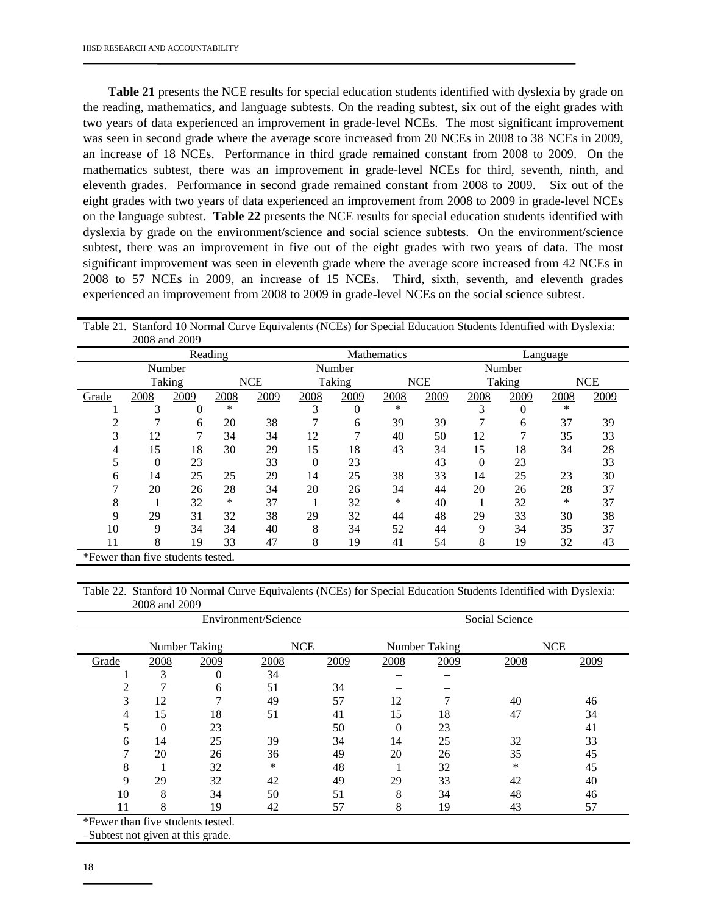**Table 21** presents the NCE results for special education students identified with dyslexia by grade on the reading, mathematics, and language subtests. On the reading subtest, six out of the eight grades with two years of data experienced an improvement in grade-level NCEs. The most significant improvement was seen in second grade where the average score increased from 20 NCEs in 2008 to 38 NCEs in 2009, an increase of 18 NCEs. Performance in third grade remained constant from 2008 to 2009. On the mathematics subtest, there was an improvement in grade-level NCEs for third, seventh, ninth, and eleventh grades. Performance in second grade remained constant from 2008 to 2009. Six out of the eight grades with two years of data experienced an improvement from 2008 to 2009 in grade-level NCEs on the language subtest. **Table 22** presents the NCE results for special education students identified with dyslexia by grade on the environment/science and social science subtests. On the environment/science subtest, there was an improvement in five out of the eight grades with two years of data. The most significant improvement was seen in eleventh grade where the average score increased from 42 NCEs in 2008 to 57 NCEs in 2009, an increase of 15 NCEs. Third, sixth, seventh, and eleventh grades experienced an improvement from 2008 to 2009 in grade-level NCEs on the social science subtest.

|                                   |                      | 2008 and 2009 |         |      |      |        |                    |            |          |        |            |      |
|-----------------------------------|----------------------|---------------|---------|------|------|--------|--------------------|------------|----------|--------|------------|------|
|                                   |                      |               | Reading |      |      |        | <b>Mathematics</b> |            | Language |        |            |      |
|                                   |                      | Number        |         |      |      | Number |                    |            |          | Number |            |      |
|                                   | Taking<br><b>NCE</b> |               |         |      |      | Taking |                    | <b>NCE</b> |          | Taking | <b>NCE</b> |      |
| Grade                             | 2008                 | 2009          | 2008    | 2009 | 2008 | 2009   | 2008               | 2009       | 2008     | 2009   | 2008       | 2009 |
|                                   | 3                    | 0             | *       |      | 3    | 0      | *                  |            | 3        | 0      | ∗          |      |
|                                   |                      | 6             | 20      | 38   |      | 6      | 39                 | 39         |          | 6      | 37         | 39   |
| 3                                 | 12                   | 7             | 34      | 34   | 12   |        | 40                 | 50         | 12       |        | 35         | 33   |
| 4                                 | 15                   | 18            | 30      | 29   | 15   | 18     | 43                 | 34         | 15       | 18     | 34         | 28   |
|                                   | $\theta$             | 23            |         | 33   | 0    | 23     |                    | 43         | $\Omega$ | 23     |            | 33   |
| 6                                 | 14                   | 25            | 25      | 29   | 14   | 25     | 38                 | 33         | 14       | 25     | 23         | 30   |
|                                   | 20                   | 26            | 28      | 34   | 20   | 26     | 34                 | 44         | 20       | 26     | 28         | 37   |
| 8                                 |                      | 32            | *       | 37   |      | 32     | *                  | 40         |          | 32     | ∗          | 37   |
| 9                                 | 29                   | 31            | 32      | 38   | 29   | 32     | 44                 | 48         | 29       | 33     | 30         | 38   |
| 10                                | 9                    | 34            | 34      | 40   | 8    | 34     | 52                 | 44         | 9        | 34     | 35         | 37   |
| 11                                | 8                    | 19            | 33      | 47   | 8    | 19     | 41                 | 54         | 8        | 19     | 32         | 43   |
| *Fewer than five students tested. |                      |               |         |      |      |        |                    |            |          |        |            |      |

Table 21. Stanford 10 Normal Curve Equivalents (NCEs) for Special Education Students Identified with Dyslexia:

Table 22. Stanford 10 Normal Curve Equivalents (NCEs) for Special Education Students Identified with Dyslexia: 2008 and 2009

|                                   |          |               | Environment/Science | Social Science |               |      |            |      |
|-----------------------------------|----------|---------------|---------------------|----------------|---------------|------|------------|------|
|                                   |          | Number Taking | <b>NCE</b>          |                | Number Taking |      | <b>NCE</b> |      |
| Grade                             | 2008     | 2009          | 2008                | 2009           | 2008          | 2009 | 2008       | 2009 |
|                                   | 3        | 0             | 34                  |                |               |      |            |      |
| 2                                 |          | 6             | 51                  | 34             |               |      |            |      |
| 3                                 | 12       |               | 49                  | 57             | 12            |      | 40         | 46   |
| 4                                 | 15       | 18            | 51                  | 41             | 15            | 18   | 47         | 34   |
| 5                                 | $\theta$ | 23            |                     | 50             | $\Omega$      | 23   |            | 41   |
| 6                                 | 14       | 25            | 39                  | 34             | 14            | 25   | 32         | 33   |
| ⇁                                 | 20       | 26            | 36                  | 49             | 20            | 26   | 35         | 45   |
| 8                                 |          | 32            | $\ast$              | 48             |               | 32   | $\ast$     | 45   |
| 9                                 | 29       | 32            | 42                  | 49             | 29            | 33   | 42         | 40   |
| 10                                | 8        | 34            | 50                  | 51             | 8             | 34   | 48         | 46   |
|                                   | 8        | 19            | 42                  | 57             | 8             | 19   | 43         | 57   |
| *Fewer than five students tested. |          |               |                     |                |               |      |            |      |

–Subtest not given at this grade.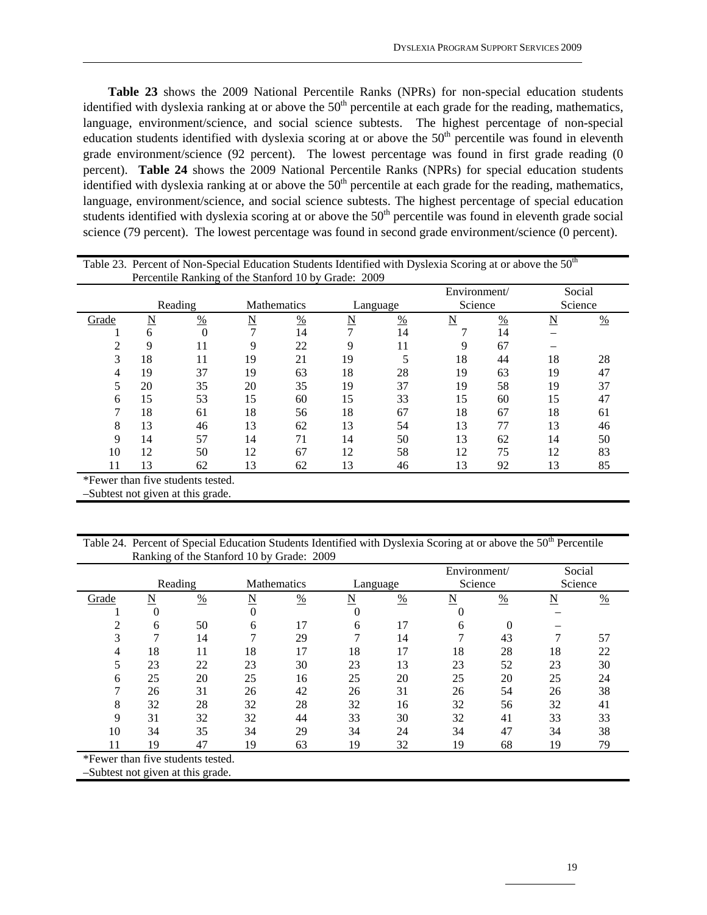**Table 23** shows the 2009 National Percentile Ranks (NPRs) for non-special education students identified with dyslexia ranking at or above the  $50<sup>th</sup>$  percentile at each grade for the reading, mathematics, language, environment/science, and social science subtests. The highest percentage of non-special education students identified with dyslexia scoring at or above the 50<sup>th</sup> percentile was found in eleventh grade environment/science (92 percent). The lowest percentage was found in first grade reading (0 percent). **Table 24** shows the 2009 National Percentile Ranks (NPRs) for special education students identified with dyslexia ranking at or above the  $50<sup>th</sup>$  percentile at each grade for the reading, mathematics, language, environment/science, and social science subtests. The highest percentage of special education students identified with dyslexia scoring at or above the  $50<sup>th</sup>$  percentile was found in eleventh grade social science (79 percent). The lowest percentage was found in second grade environment/science (0 percent).

| Table 23. Percent of Non-Special Education Students Identified with Dyslexia Scoring at or above the 50 <sup>th</sup> |                         |               |                    |               |                         |               |              |               |         |               |
|-----------------------------------------------------------------------------------------------------------------------|-------------------------|---------------|--------------------|---------------|-------------------------|---------------|--------------|---------------|---------|---------------|
| Percentile Ranking of the Stanford 10 by Grade: 2009                                                                  |                         |               |                    |               |                         |               |              |               |         |               |
|                                                                                                                       |                         |               |                    |               |                         |               | Environment/ |               | Social  |               |
|                                                                                                                       | Reading                 |               | <b>Mathematics</b> |               | Language                |               | Science      |               | Science |               |
| Grade                                                                                                                 | $\overline{\mathbf{N}}$ | $\frac{0}{0}$ | N                  | $\frac{0}{0}$ | $\overline{\mathbf{N}}$ | $\frac{0}{0}$ | N            | $\frac{0}{0}$ | N       | $\frac{0}{0}$ |
|                                                                                                                       | 6                       | $\theta$      |                    | 14            | $\mathcal{I}$           | 14            |              | 14            |         |               |
|                                                                                                                       | 9                       | 11            | 9                  | 22            | Q                       | 11            | 9            | 67            |         |               |
| 3                                                                                                                     | 18                      | 11            | 19                 | 21            | 19                      |               | 18           | 44            | 18      | 28            |
| 4                                                                                                                     | 19                      | 37            | 19                 | 63            | 18                      | 28            | 19           | 63            | 19      | 47            |
| 5                                                                                                                     | 20                      | 35            | 20                 | 35            | 19                      | 37            | 19           | 58            | 19      | 37            |
| 6                                                                                                                     | 15                      | 53            | 15                 | 60            | 15                      | 33            | 15           | 60            | 15      | 47            |
|                                                                                                                       | 18                      | 61            | 18                 | 56            | 18                      | 67            | 18           | 67            | 18      | 61            |
| 8                                                                                                                     | 13                      | 46            | 13                 | 62            | 13                      | 54            | 13           | 77            | 13      | 46            |
| 9                                                                                                                     | 14                      | 57            | 14                 | 71            | 14                      | 50            | 13           | 62            | 14      | 50            |
| 10                                                                                                                    | 12                      | 50            | 12                 | 67            | 12                      | 58            | 12           | 75            | 12      | 83            |
| 11                                                                                                                    | 13                      | 62            | 13                 | 62            | 13                      | 46            | 13           | 92            | 13      | 85            |
| *Fewer than five students tested.                                                                                     |                         |               |                    |               |                         |               |              |               |         |               |

–Subtest not given at this grade.

Table 24. Percent of Special Education Students Identified with Dyslexia Scoring at or above the 50<sup>th</sup> Percentile Ranking of the Stanford 10 by Grade: 2009

|                                   |         |               |                    |    |          |               | Environment/ |          | Social  |               |
|-----------------------------------|---------|---------------|--------------------|----|----------|---------------|--------------|----------|---------|---------------|
|                                   | Reading |               | <b>Mathematics</b> |    | Language |               | Science      |          | Science |               |
| Grade                             | N       | $\frac{0}{0}$ | N                  | %  | N        | $\frac{0}{0}$ | N            | %        | N       | $\frac{0}{0}$ |
|                                   | 0       |               | $\theta$           |    | 0        |               | 0            |          |         |               |
| 2                                 | 6       | 50            | 6                  | 17 | 6        | 17            | 6            | $\theta$ |         |               |
| 3                                 | ⇁       | 14            | 7                  | 29 | 7        | 14            | 7            | 43       |         | 57            |
| 4                                 | 18      | 11            | 18                 | 17 | 18       | 17            | 18           | 28       | 18      | 22            |
| 5                                 | 23      | 22            | 23                 | 30 | 23       | 13            | 23           | 52       | 23      | 30            |
| 6                                 | 25      | 20            | 25                 | 16 | 25       | 20            | 25           | 20       | 25      | 24            |
| 7                                 | 26      | 31            | 26                 | 42 | 26       | 31            | 26           | 54       | 26      | 38            |
| 8                                 | 32      | 28            | 32                 | 28 | 32       | 16            | 32           | 56       | 32      | 41            |
| 9                                 | 31      | 32            | 32                 | 44 | 33       | 30            | 32           | 41       | 33      | 33            |
| 10                                | 34      | 35            | 34                 | 29 | 34       | 24            | 34           | 47       | 34      | 38            |
| 11                                | 19      | 47            | 19                 | 63 | 19       | 32            | 19           | 68       | 19      | 79            |
| *Fewer than five students tested. |         |               |                    |    |          |               |              |          |         |               |
| -Subtest not given at this grade. |         |               |                    |    |          |               |              |          |         |               |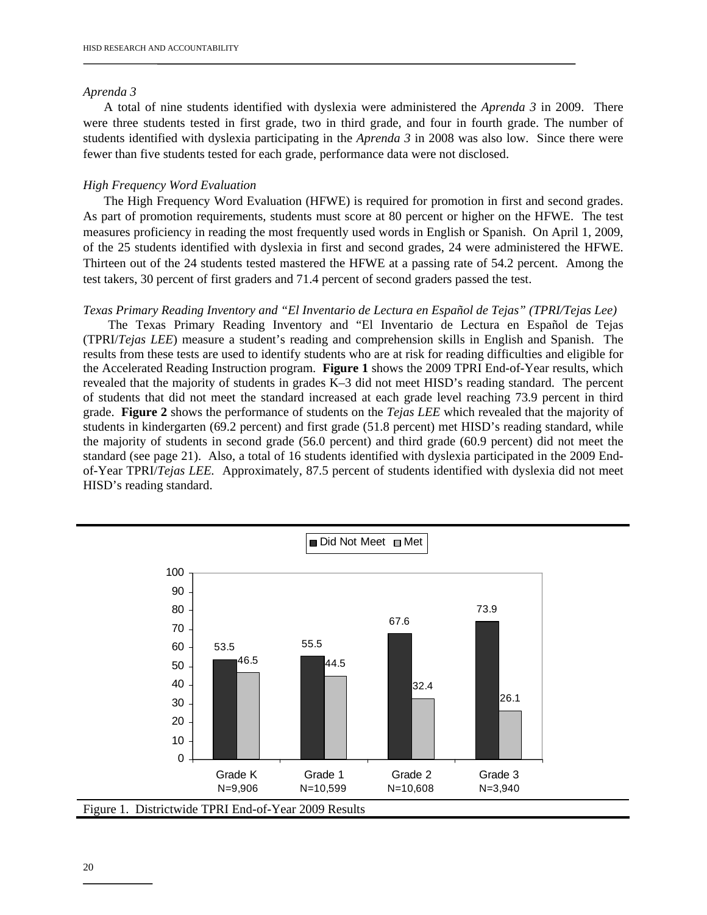#### *Aprenda 3*

 A total of nine students identified with dyslexia were administered the *Aprenda 3* in 2009. There were three students tested in first grade, two in third grade, and four in fourth grade. The number of students identified with dyslexia participating in the *Aprenda 3* in 2008 was also low. Since there were fewer than five students tested for each grade, performance data were not disclosed.

#### *High Frequency Word Evaluation*

 The High Frequency Word Evaluation (HFWE) is required for promotion in first and second grades. As part of promotion requirements, students must score at 80 percent or higher on the HFWE. The test measures proficiency in reading the most frequently used words in English or Spanish. On April 1, 2009, of the 25 students identified with dyslexia in first and second grades, 24 were administered the HFWE. Thirteen out of the 24 students tested mastered the HFWE at a passing rate of 54.2 percent. Among the test takers, 30 percent of first graders and 71.4 percent of second graders passed the test.

#### *Texas Primary Reading Inventory and "El Inventario de Lectura en Español de Tejas" (TPRI/Tejas Lee)*

 The Texas Primary Reading Inventory and "El Inventario de Lectura en Español de Tejas (TPRI/*Tejas LEE*) measure a student's reading and comprehension skills in English and Spanish. The results from these tests are used to identify students who are at risk for reading difficulties and eligible for the Accelerated Reading Instruction program. **Figure 1** shows the 2009 TPRI End-of-Year results, which revealed that the majority of students in grades K–3 did not meet HISD's reading standard. The percent of students that did not meet the standard increased at each grade level reaching 73.9 percent in third grade. **Figure 2** shows the performance of students on the *Tejas LEE* which revealed that the majority of students in kindergarten (69.2 percent) and first grade (51.8 percent) met HISD's reading standard, while the majority of students in second grade (56.0 percent) and third grade (60.9 percent) did not meet the standard (see page 21). Also, a total of 16 students identified with dyslexia participated in the 2009 Endof-Year TPRI/*Tejas LEE.* Approximately, 87.5 percent of students identified with dyslexia did not meet HISD's reading standard.

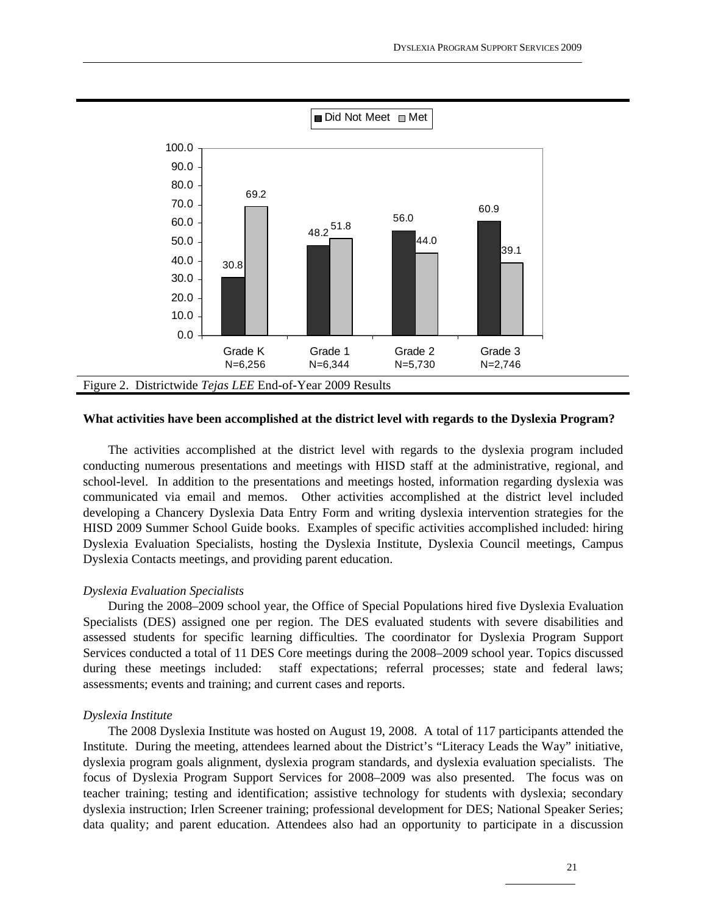

#### **What activities have been accomplished at the district level with regards to the Dyslexia Program?**

 The activities accomplished at the district level with regards to the dyslexia program included conducting numerous presentations and meetings with HISD staff at the administrative, regional, and school-level. In addition to the presentations and meetings hosted, information regarding dyslexia was communicated via email and memos. Other activities accomplished at the district level included developing a Chancery Dyslexia Data Entry Form and writing dyslexia intervention strategies for the HISD 2009 Summer School Guide books. Examples of specific activities accomplished included: hiring Dyslexia Evaluation Specialists, hosting the Dyslexia Institute, Dyslexia Council meetings, Campus Dyslexia Contacts meetings, and providing parent education.

#### *Dyslexia Evaluation Specialists*

 During the 2008–2009 school year, the Office of Special Populations hired five Dyslexia Evaluation Specialists (DES) assigned one per region. The DES evaluated students with severe disabilities and assessed students for specific learning difficulties. The coordinator for Dyslexia Program Support Services conducted a total of 11 DES Core meetings during the 2008–2009 school year. Topics discussed during these meetings included: staff expectations; referral processes; state and federal laws; assessments; events and training; and current cases and reports.

#### *Dyslexia Institute*

 The 2008 Dyslexia Institute was hosted on August 19, 2008. A total of 117 participants attended the Institute. During the meeting, attendees learned about the District's "Literacy Leads the Way" initiative, dyslexia program goals alignment, dyslexia program standards, and dyslexia evaluation specialists. The focus of Dyslexia Program Support Services for 2008–2009 was also presented. The focus was on teacher training; testing and identification; assistive technology for students with dyslexia; secondary dyslexia instruction; Irlen Screener training; professional development for DES; National Speaker Series; data quality; and parent education. Attendees also had an opportunity to participate in a discussion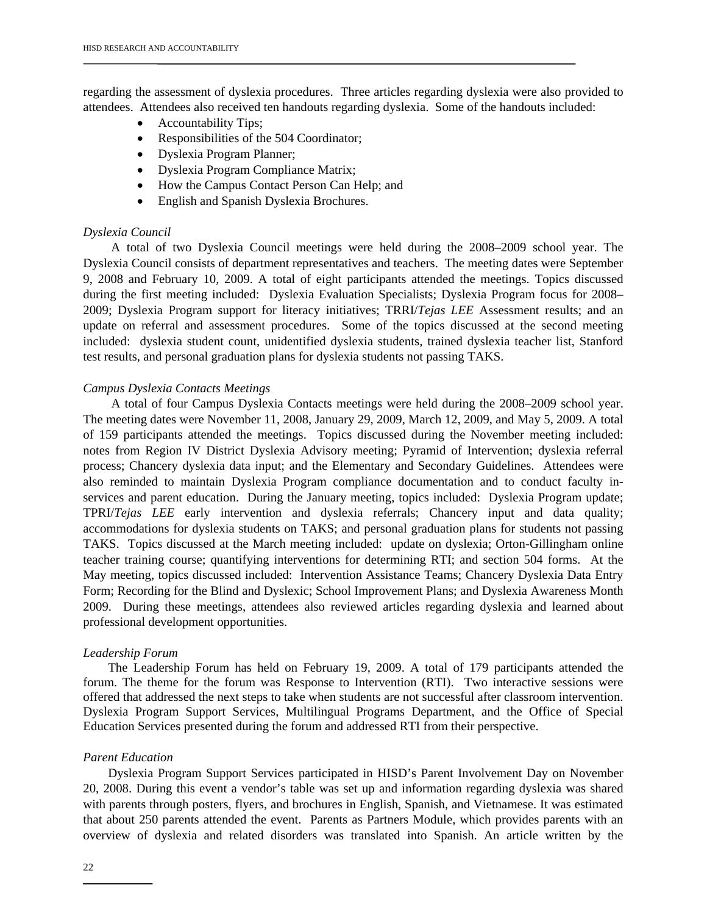regarding the assessment of dyslexia procedures. Three articles regarding dyslexia were also provided to attendees. Attendees also received ten handouts regarding dyslexia. Some of the handouts included:

- Accountability Tips;
- Responsibilities of the 504 Coordinator;
- Dyslexia Program Planner;
- Dyslexia Program Compliance Matrix;
- How the Campus Contact Person Can Help; and
- English and Spanish Dyslexia Brochures.

#### *Dyslexia Council*

 A total of two Dyslexia Council meetings were held during the 2008–2009 school year. The Dyslexia Council consists of department representatives and teachers. The meeting dates were September 9, 2008 and February 10, 2009. A total of eight participants attended the meetings. Topics discussed during the first meeting included: Dyslexia Evaluation Specialists; Dyslexia Program focus for 2008– 2009; Dyslexia Program support for literacy initiatives; TRRI/*Tejas LEE* Assessment results; and an update on referral and assessment procedures. Some of the topics discussed at the second meeting included: dyslexia student count, unidentified dyslexia students, trained dyslexia teacher list, Stanford test results, and personal graduation plans for dyslexia students not passing TAKS.

#### *Campus Dyslexia Contacts Meetings*

 A total of four Campus Dyslexia Contacts meetings were held during the 2008–2009 school year. The meeting dates were November 11, 2008, January 29, 2009, March 12, 2009, and May 5, 2009. A total of 159 participants attended the meetings. Topics discussed during the November meeting included: notes from Region IV District Dyslexia Advisory meeting; Pyramid of Intervention; dyslexia referral process; Chancery dyslexia data input; and the Elementary and Secondary Guidelines. Attendees were also reminded to maintain Dyslexia Program compliance documentation and to conduct faculty inservices and parent education. During the January meeting, topics included: Dyslexia Program update; TPRI/*Tejas LEE* early intervention and dyslexia referrals; Chancery input and data quality; accommodations for dyslexia students on TAKS; and personal graduation plans for students not passing TAKS. Topics discussed at the March meeting included: update on dyslexia; Orton-Gillingham online teacher training course; quantifying interventions for determining RTI; and section 504 forms. At the May meeting, topics discussed included: Intervention Assistance Teams; Chancery Dyslexia Data Entry Form; Recording for the Blind and Dyslexic; School Improvement Plans; and Dyslexia Awareness Month 2009. During these meetings, attendees also reviewed articles regarding dyslexia and learned about professional development opportunities.

#### *Leadership Forum*

The Leadership Forum has held on February 19, 2009. A total of 179 participants attended the forum. The theme for the forum was Response to Intervention (RTI). Two interactive sessions were offered that addressed the next steps to take when students are not successful after classroom intervention. Dyslexia Program Support Services, Multilingual Programs Department, and the Office of Special Education Services presented during the forum and addressed RTI from their perspective.

#### *Parent Education*

 Dyslexia Program Support Services participated in HISD's Parent Involvement Day on November 20, 2008. During this event a vendor's table was set up and information regarding dyslexia was shared with parents through posters, flyers, and brochures in English, Spanish, and Vietnamese. It was estimated that about 250 parents attended the event. Parents as Partners Module, which provides parents with an overview of dyslexia and related disorders was translated into Spanish. An article written by the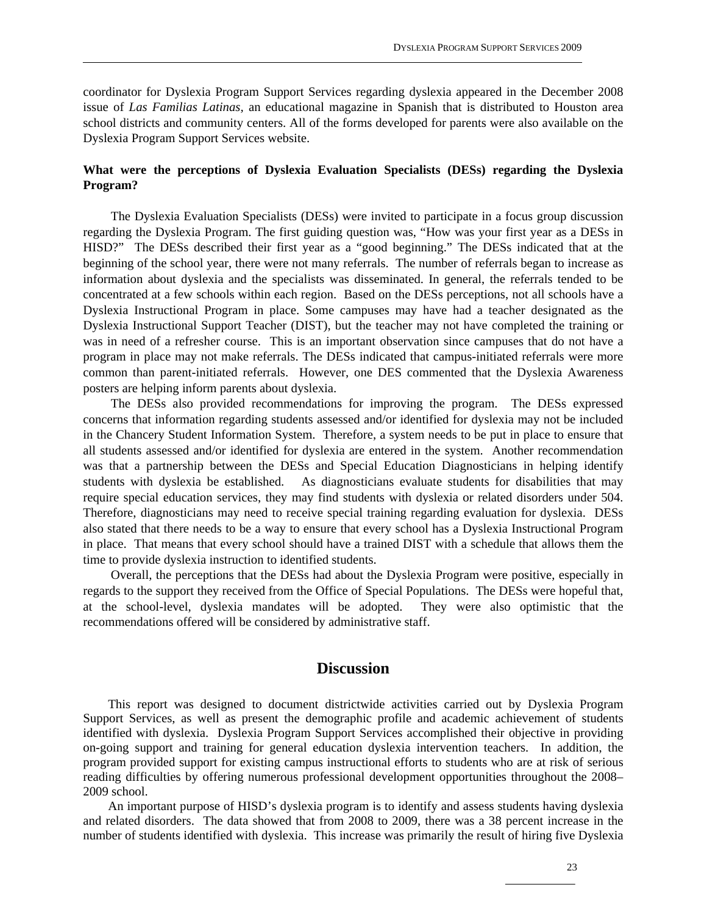coordinator for Dyslexia Program Support Services regarding dyslexia appeared in the December 2008 issue of *Las Familias Latinas,* an educational magazine in Spanish that is distributed to Houston area school districts and community centers. All of the forms developed for parents were also available on the Dyslexia Program Support Services website.

# **What were the perceptions of Dyslexia Evaluation Specialists (DESs) regarding the Dyslexia Program?**

The Dyslexia Evaluation Specialists (DESs) were invited to participate in a focus group discussion regarding the Dyslexia Program. The first guiding question was, "How was your first year as a DESs in HISD?" The DESs described their first year as a "good beginning." The DESs indicated that at the beginning of the school year, there were not many referrals. The number of referrals began to increase as information about dyslexia and the specialists was disseminated. In general, the referrals tended to be concentrated at a few schools within each region. Based on the DESs perceptions, not all schools have a Dyslexia Instructional Program in place. Some campuses may have had a teacher designated as the Dyslexia Instructional Support Teacher (DIST), but the teacher may not have completed the training or was in need of a refresher course. This is an important observation since campuses that do not have a program in place may not make referrals. The DESs indicated that campus-initiated referrals were more common than parent-initiated referrals. However, one DES commented that the Dyslexia Awareness posters are helping inform parents about dyslexia.

 The DESs also provided recommendations for improving the program. The DESs expressed concerns that information regarding students assessed and/or identified for dyslexia may not be included in the Chancery Student Information System. Therefore, a system needs to be put in place to ensure that all students assessed and/or identified for dyslexia are entered in the system. Another recommendation was that a partnership between the DESs and Special Education Diagnosticians in helping identify students with dyslexia be established. As diagnosticians evaluate students for disabilities that may require special education services, they may find students with dyslexia or related disorders under 504. Therefore, diagnosticians may need to receive special training regarding evaluation for dyslexia. DESs also stated that there needs to be a way to ensure that every school has a Dyslexia Instructional Program in place. That means that every school should have a trained DIST with a schedule that allows them the time to provide dyslexia instruction to identified students.

 Overall, the perceptions that the DESs had about the Dyslexia Program were positive, especially in regards to the support they received from the Office of Special Populations. The DESs were hopeful that, at the school-level, dyslexia mandates will be adopted. They were also optimistic that the recommendations offered will be considered by administrative staff.

# **Discussion**

This report was designed to document districtwide activities carried out by Dyslexia Program Support Services, as well as present the demographic profile and academic achievement of students identified with dyslexia. Dyslexia Program Support Services accomplished their objective in providing on-going support and training for general education dyslexia intervention teachers. In addition, the program provided support for existing campus instructional efforts to students who are at risk of serious reading difficulties by offering numerous professional development opportunities throughout the 2008– 2009 school.

 An important purpose of HISD's dyslexia program is to identify and assess students having dyslexia and related disorders. The data showed that from 2008 to 2009, there was a 38 percent increase in the number of students identified with dyslexia. This increase was primarily the result of hiring five Dyslexia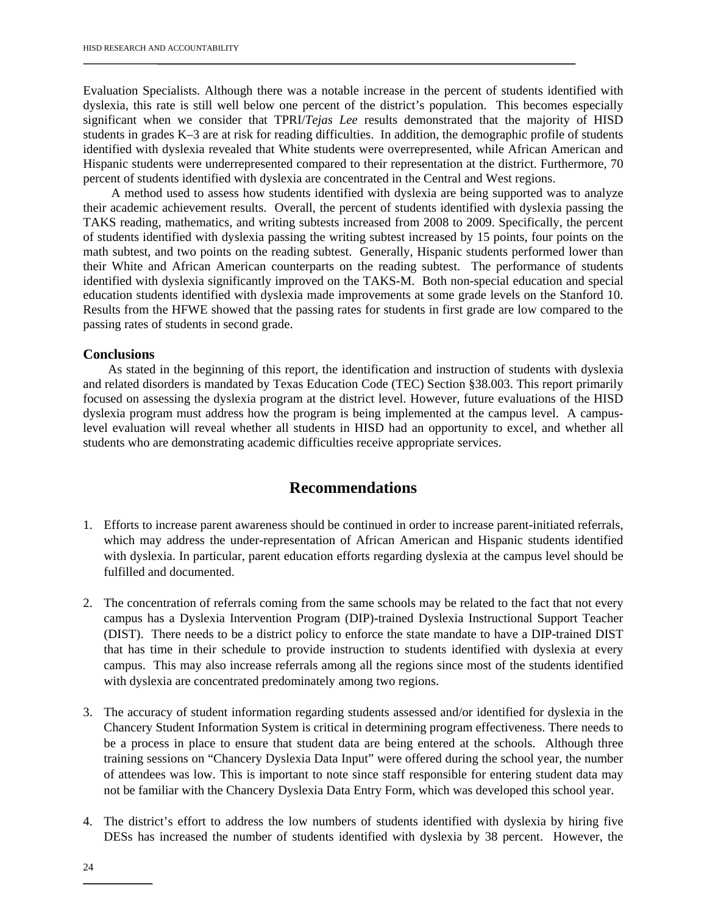Evaluation Specialists. Although there was a notable increase in the percent of students identified with dyslexia, this rate is still well below one percent of the district's population. This becomes especially significant when we consider that TPRI/*Tejas Lee* results demonstrated that the majority of HISD students in grades K–3 are at risk for reading difficulties. In addition, the demographic profile of students identified with dyslexia revealed that White students were overrepresented, while African American and Hispanic students were underrepresented compared to their representation at the district. Furthermore, 70 percent of students identified with dyslexia are concentrated in the Central and West regions.

 A method used to assess how students identified with dyslexia are being supported was to analyze their academic achievement results. Overall, the percent of students identified with dyslexia passing the TAKS reading, mathematics, and writing subtests increased from 2008 to 2009. Specifically, the percent of students identified with dyslexia passing the writing subtest increased by 15 points, four points on the math subtest, and two points on the reading subtest. Generally, Hispanic students performed lower than their White and African American counterparts on the reading subtest. The performance of students identified with dyslexia significantly improved on the TAKS-M. Both non-special education and special education students identified with dyslexia made improvements at some grade levels on the Stanford 10. Results from the HFWE showed that the passing rates for students in first grade are low compared to the passing rates of students in second grade.

#### **Conclusions**

 As stated in the beginning of this report, the identification and instruction of students with dyslexia and related disorders is mandated by Texas Education Code (TEC) Section §38.003. This report primarily focused on assessing the dyslexia program at the district level. However, future evaluations of the HISD dyslexia program must address how the program is being implemented at the campus level. A campuslevel evaluation will reveal whether all students in HISD had an opportunity to excel, and whether all students who are demonstrating academic difficulties receive appropriate services.

# **Recommendations**

- 1. Efforts to increase parent awareness should be continued in order to increase parent-initiated referrals, which may address the under-representation of African American and Hispanic students identified with dyslexia. In particular, parent education efforts regarding dyslexia at the campus level should be fulfilled and documented.
- 2. The concentration of referrals coming from the same schools may be related to the fact that not every campus has a Dyslexia Intervention Program (DIP)-trained Dyslexia Instructional Support Teacher (DIST). There needs to be a district policy to enforce the state mandate to have a DIP-trained DIST that has time in their schedule to provide instruction to students identified with dyslexia at every campus. This may also increase referrals among all the regions since most of the students identified with dyslexia are concentrated predominately among two regions.
- 3. The accuracy of student information regarding students assessed and/or identified for dyslexia in the Chancery Student Information System is critical in determining program effectiveness. There needs to be a process in place to ensure that student data are being entered at the schools. Although three training sessions on "Chancery Dyslexia Data Input" were offered during the school year, the number of attendees was low. This is important to note since staff responsible for entering student data may not be familiar with the Chancery Dyslexia Data Entry Form, which was developed this school year.
- 4. The district's effort to address the low numbers of students identified with dyslexia by hiring five DESs has increased the number of students identified with dyslexia by 38 percent. However, the